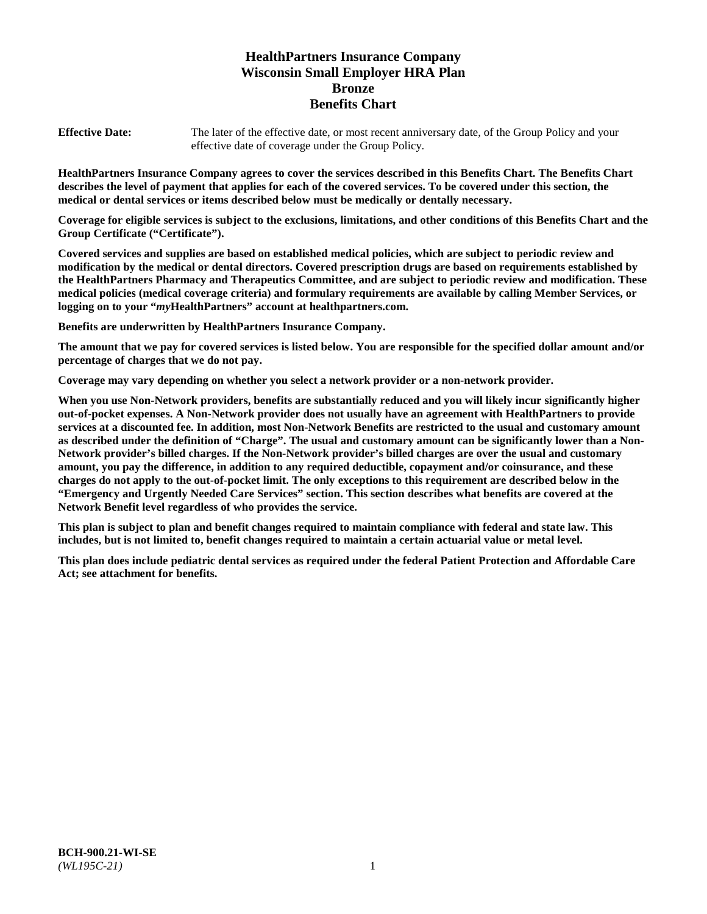# **HealthPartners Insurance Company Wisconsin Small Employer HRA Plan Bronze Benefits Chart**

**Effective Date:** The later of the effective date, or most recent anniversary date, of the Group Policy and your effective date of coverage under the Group Policy.

**HealthPartners Insurance Company agrees to cover the services described in this Benefits Chart. The Benefits Chart describes the level of payment that applies for each of the covered services. To be covered under this section, the medical or dental services or items described below must be medically or dentally necessary.**

**Coverage for eligible services is subject to the exclusions, limitations, and other conditions of this Benefits Chart and the Group Certificate ("Certificate").**

**Covered services and supplies are based on established medical policies, which are subject to periodic review and modification by the medical or dental directors. Covered prescription drugs are based on requirements established by the HealthPartners Pharmacy and Therapeutics Committee, and are subject to periodic review and modification. These medical policies (medical coverage criteria) and formulary requirements are available by calling Member Services, or logging on to your "***my***HealthPartners" account at [healthpartners.com.](https://www.healthpartners.com/hp/index.html)**

**Benefits are underwritten by HealthPartners Insurance Company.**

**The amount that we pay for covered services is listed below. You are responsible for the specified dollar amount and/or percentage of charges that we do not pay.**

**Coverage may vary depending on whether you select a network provider or a non-network provider.**

**When you use Non-Network providers, benefits are substantially reduced and you will likely incur significantly higher out-of-pocket expenses. A Non-Network provider does not usually have an agreement with HealthPartners to provide services at a discounted fee. In addition, most Non-Network Benefits are restricted to the usual and customary amount as described under the definition of "Charge". The usual and customary amount can be significantly lower than a Non-Network provider's billed charges. If the Non-Network provider's billed charges are over the usual and customary amount, you pay the difference, in addition to any required deductible, copayment and/or coinsurance, and these charges do not apply to the out-of-pocket limit. The only exceptions to this requirement are described below in the "Emergency and Urgently Needed Care Services" section. This section describes what benefits are covered at the Network Benefit level regardless of who provides the service.**

**This plan is subject to plan and benefit changes required to maintain compliance with federal and state law. This includes, but is not limited to, benefit changes required to maintain a certain actuarial value or metal level.**

**This plan does include pediatric dental services as required under the federal Patient Protection and Affordable Care Act; see attachment for benefits.**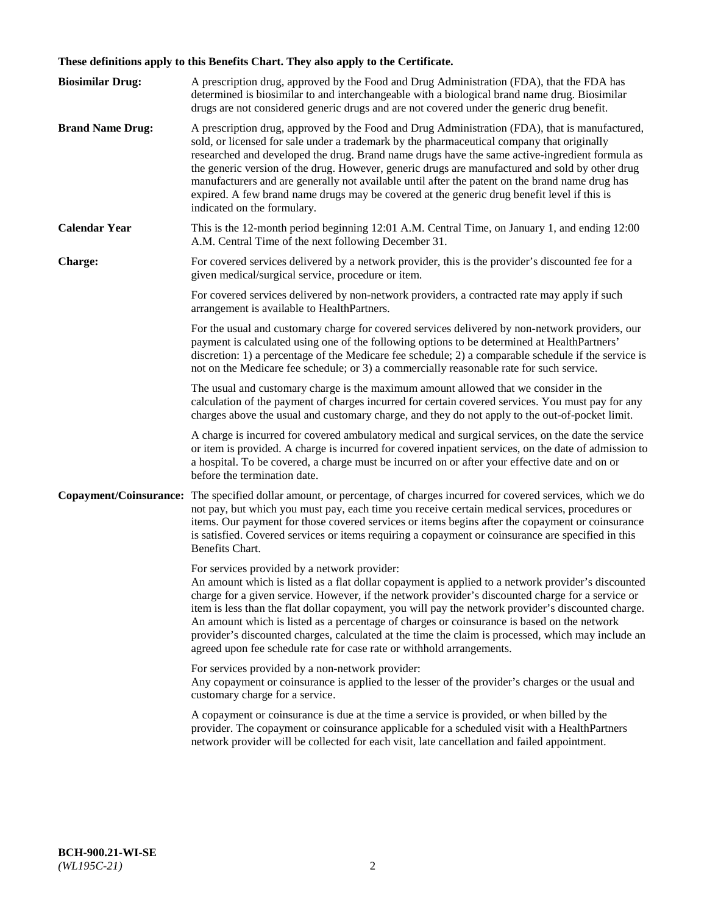# **These definitions apply to this Benefits Chart. They also apply to the Certificate.**

| <b>Biosimilar Drug:</b> | A prescription drug, approved by the Food and Drug Administration (FDA), that the FDA has<br>determined is biosimilar to and interchangeable with a biological brand name drug. Biosimilar<br>drugs are not considered generic drugs and are not covered under the generic drug benefit.                                                                                                                                                                                                                                                                                                                                                     |
|-------------------------|----------------------------------------------------------------------------------------------------------------------------------------------------------------------------------------------------------------------------------------------------------------------------------------------------------------------------------------------------------------------------------------------------------------------------------------------------------------------------------------------------------------------------------------------------------------------------------------------------------------------------------------------|
| <b>Brand Name Drug:</b> | A prescription drug, approved by the Food and Drug Administration (FDA), that is manufactured,<br>sold, or licensed for sale under a trademark by the pharmaceutical company that originally<br>researched and developed the drug. Brand name drugs have the same active-ingredient formula as<br>the generic version of the drug. However, generic drugs are manufactured and sold by other drug<br>manufacturers and are generally not available until after the patent on the brand name drug has<br>expired. A few brand name drugs may be covered at the generic drug benefit level if this is<br>indicated on the formulary.           |
| <b>Calendar Year</b>    | This is the 12-month period beginning 12:01 A.M. Central Time, on January 1, and ending 12:00<br>A.M. Central Time of the next following December 31.                                                                                                                                                                                                                                                                                                                                                                                                                                                                                        |
| <b>Charge:</b>          | For covered services delivered by a network provider, this is the provider's discounted fee for a<br>given medical/surgical service, procedure or item.                                                                                                                                                                                                                                                                                                                                                                                                                                                                                      |
|                         | For covered services delivered by non-network providers, a contracted rate may apply if such<br>arrangement is available to HealthPartners.                                                                                                                                                                                                                                                                                                                                                                                                                                                                                                  |
|                         | For the usual and customary charge for covered services delivered by non-network providers, our<br>payment is calculated using one of the following options to be determined at HealthPartners'<br>discretion: 1) a percentage of the Medicare fee schedule; 2) a comparable schedule if the service is<br>not on the Medicare fee schedule; or 3) a commercially reasonable rate for such service.                                                                                                                                                                                                                                          |
|                         | The usual and customary charge is the maximum amount allowed that we consider in the<br>calculation of the payment of charges incurred for certain covered services. You must pay for any<br>charges above the usual and customary charge, and they do not apply to the out-of-pocket limit.                                                                                                                                                                                                                                                                                                                                                 |
|                         | A charge is incurred for covered ambulatory medical and surgical services, on the date the service<br>or item is provided. A charge is incurred for covered inpatient services, on the date of admission to<br>a hospital. To be covered, a charge must be incurred on or after your effective date and on or<br>before the termination date.                                                                                                                                                                                                                                                                                                |
| Copayment/Coinsurance:  | The specified dollar amount, or percentage, of charges incurred for covered services, which we do<br>not pay, but which you must pay, each time you receive certain medical services, procedures or<br>items. Our payment for those covered services or items begins after the copayment or coinsurance<br>is satisfied. Covered services or items requiring a copayment or coinsurance are specified in this<br>Benefits Chart.                                                                                                                                                                                                             |
|                         | For services provided by a network provider:<br>An amount which is listed as a flat dollar copayment is applied to a network provider's discounted<br>charge for a given service. However, if the network provider's discounted charge for a service or<br>item is less than the flat dollar copayment, you will pay the network provider's discounted charge.<br>An amount which is listed as a percentage of charges or coinsurance is based on the network<br>provider's discounted charges, calculated at the time the claim is processed, which may include an<br>agreed upon fee schedule rate for case rate or withhold arrangements. |
|                         | For services provided by a non-network provider:<br>Any copayment or coinsurance is applied to the lesser of the provider's charges or the usual and<br>customary charge for a service.                                                                                                                                                                                                                                                                                                                                                                                                                                                      |
|                         | A copayment or coinsurance is due at the time a service is provided, or when billed by the<br>provider. The copayment or coinsurance applicable for a scheduled visit with a HealthPartners<br>network provider will be collected for each visit, late cancellation and failed appointment.                                                                                                                                                                                                                                                                                                                                                  |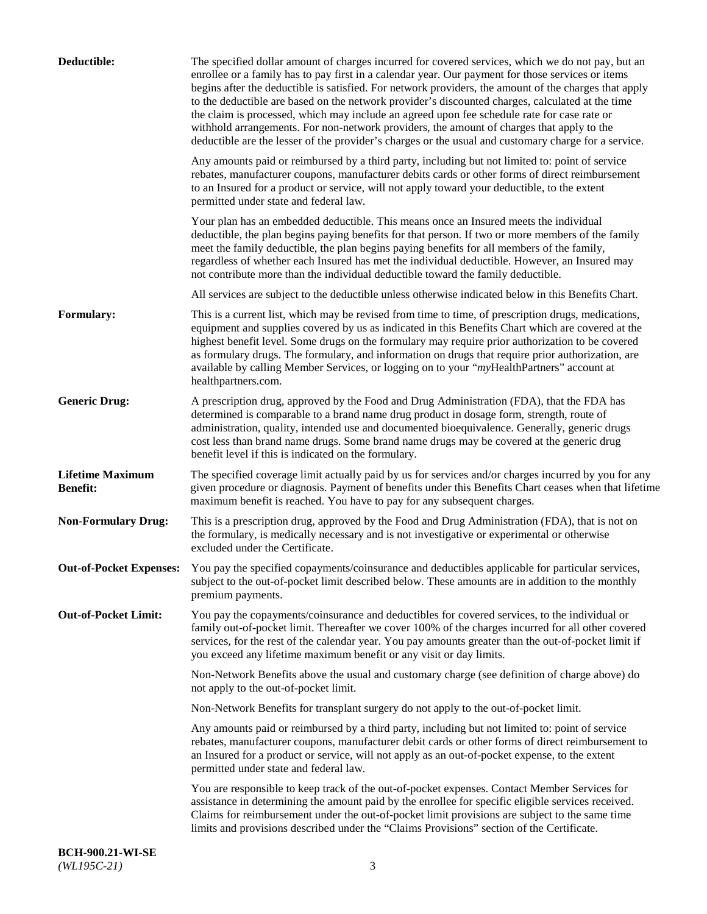| Deductible:                                | The specified dollar amount of charges incurred for covered services, which we do not pay, but an<br>enrollee or a family has to pay first in a calendar year. Our payment for those services or items<br>begins after the deductible is satisfied. For network providers, the amount of the charges that apply<br>to the deductible are based on the network provider's discounted charges, calculated at the time<br>the claim is processed, which may include an agreed upon fee schedule rate for case rate or<br>withhold arrangements. For non-network providers, the amount of charges that apply to the<br>deductible are the lesser of the provider's charges or the usual and customary charge for a service. |
|--------------------------------------------|-------------------------------------------------------------------------------------------------------------------------------------------------------------------------------------------------------------------------------------------------------------------------------------------------------------------------------------------------------------------------------------------------------------------------------------------------------------------------------------------------------------------------------------------------------------------------------------------------------------------------------------------------------------------------------------------------------------------------|
|                                            | Any amounts paid or reimbursed by a third party, including but not limited to: point of service<br>rebates, manufacturer coupons, manufacturer debits cards or other forms of direct reimbursement<br>to an Insured for a product or service, will not apply toward your deductible, to the extent<br>permitted under state and federal law.                                                                                                                                                                                                                                                                                                                                                                            |
|                                            | Your plan has an embedded deductible. This means once an Insured meets the individual<br>deductible, the plan begins paying benefits for that person. If two or more members of the family<br>meet the family deductible, the plan begins paying benefits for all members of the family,<br>regardless of whether each Insured has met the individual deductible. However, an Insured may<br>not contribute more than the individual deductible toward the family deductible.                                                                                                                                                                                                                                           |
|                                            | All services are subject to the deductible unless otherwise indicated below in this Benefits Chart.                                                                                                                                                                                                                                                                                                                                                                                                                                                                                                                                                                                                                     |
| <b>Formulary:</b>                          | This is a current list, which may be revised from time to time, of prescription drugs, medications,<br>equipment and supplies covered by us as indicated in this Benefits Chart which are covered at the<br>highest benefit level. Some drugs on the formulary may require prior authorization to be covered<br>as formulary drugs. The formulary, and information on drugs that require prior authorization, are<br>available by calling Member Services, or logging on to your "myHealthPartners" account at<br>healthpartners.com.                                                                                                                                                                                   |
| <b>Generic Drug:</b>                       | A prescription drug, approved by the Food and Drug Administration (FDA), that the FDA has<br>determined is comparable to a brand name drug product in dosage form, strength, route of<br>administration, quality, intended use and documented bioequivalence. Generally, generic drugs<br>cost less than brand name drugs. Some brand name drugs may be covered at the generic drug<br>benefit level if this is indicated on the formulary.                                                                                                                                                                                                                                                                             |
| <b>Lifetime Maximum</b><br><b>Benefit:</b> | The specified coverage limit actually paid by us for services and/or charges incurred by you for any<br>given procedure or diagnosis. Payment of benefits under this Benefits Chart ceases when that lifetime<br>maximum benefit is reached. You have to pay for any subsequent charges.                                                                                                                                                                                                                                                                                                                                                                                                                                |
| <b>Non-Formulary Drug:</b>                 | This is a prescription drug, approved by the Food and Drug Administration (FDA), that is not on<br>the formulary, is medically necessary and is not investigative or experimental or otherwise<br>excluded under the Certificate.                                                                                                                                                                                                                                                                                                                                                                                                                                                                                       |
|                                            | Out-of-Pocket Expenses: You pay the specified copayments/coinsurance and deductibles applicable for particular services,<br>subject to the out-of-pocket limit described below. These amounts are in addition to the monthly<br>premium payments.                                                                                                                                                                                                                                                                                                                                                                                                                                                                       |
| <b>Out-of-Pocket Limit:</b>                | You pay the copayments/coinsurance and deductibles for covered services, to the individual or<br>family out-of-pocket limit. Thereafter we cover 100% of the charges incurred for all other covered<br>services, for the rest of the calendar year. You pay amounts greater than the out-of-pocket limit if<br>you exceed any lifetime maximum benefit or any visit or day limits.                                                                                                                                                                                                                                                                                                                                      |
|                                            | Non-Network Benefits above the usual and customary charge (see definition of charge above) do<br>not apply to the out-of-pocket limit.                                                                                                                                                                                                                                                                                                                                                                                                                                                                                                                                                                                  |
|                                            | Non-Network Benefits for transplant surgery do not apply to the out-of-pocket limit.                                                                                                                                                                                                                                                                                                                                                                                                                                                                                                                                                                                                                                    |
|                                            | Any amounts paid or reimbursed by a third party, including but not limited to: point of service<br>rebates, manufacturer coupons, manufacturer debit cards or other forms of direct reimbursement to<br>an Insured for a product or service, will not apply as an out-of-pocket expense, to the extent<br>permitted under state and federal law.                                                                                                                                                                                                                                                                                                                                                                        |
|                                            | You are responsible to keep track of the out-of-pocket expenses. Contact Member Services for<br>assistance in determining the amount paid by the enrollee for specific eligible services received.<br>Claims for reimbursement under the out-of-pocket limit provisions are subject to the same time<br>limits and provisions described under the "Claims Provisions" section of the Certificate.                                                                                                                                                                                                                                                                                                                       |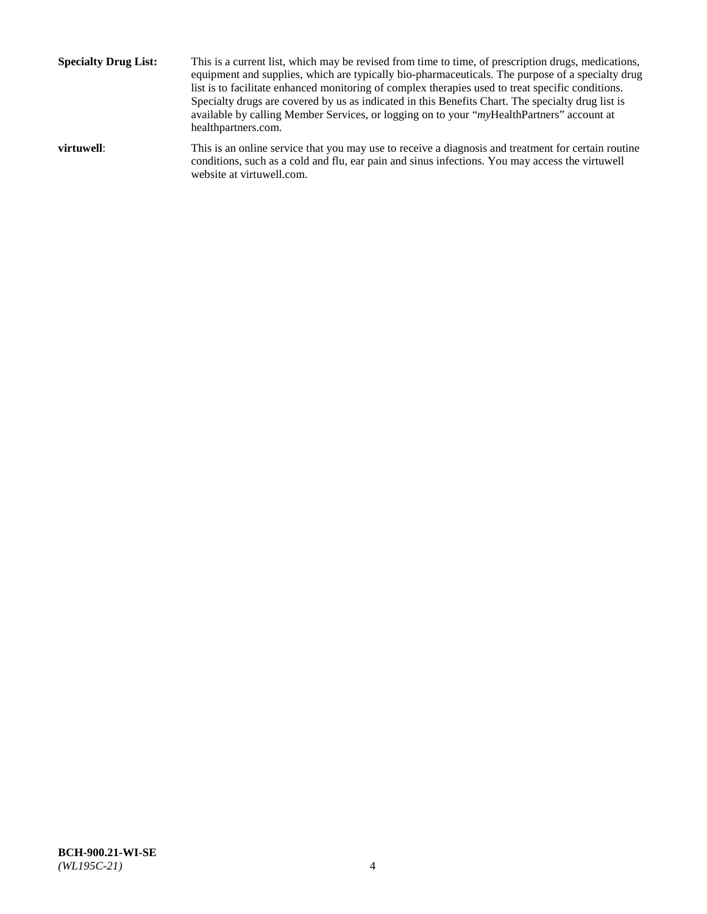**Specialty Drug List:** This is a current list, which may be revised from time to time, of prescription drugs, medications, equipment and supplies, which are typically bio-pharmaceuticals. The purpose of a specialty drug list is to facilitate enhanced monitoring of complex therapies used to treat specific conditions. Specialty drugs are covered by us as indicated in this Benefits Chart. The specialty drug list is available by calling Member Services, or logging on to your "*my*HealthPartners" account at [healthpartners.com.](http://www.healthpartners.com/) **virtuwell:** This is an online service that you may use to receive a diagnosis and treatment for certain routine conditions, such as a cold and flu, ear pain and sinus infections. You may access the virtuwell

website at [virtuwell.com.](http://www.virtuwell.com/)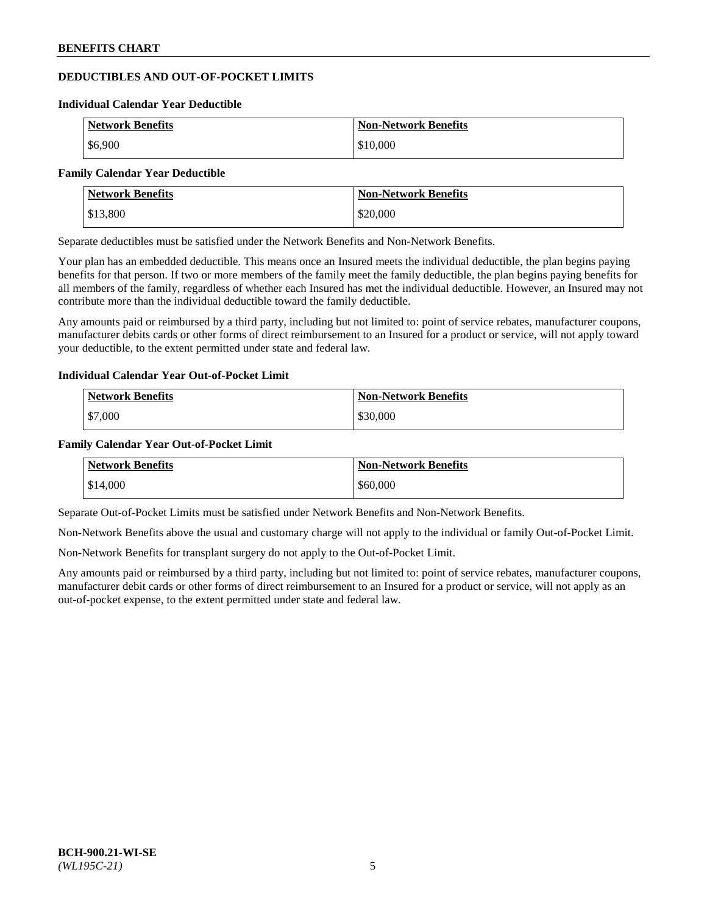# **DEDUCTIBLES AND OUT-OF-POCKET LIMITS**

#### **Individual Calendar Year Deductible**

| <b>Network Benefits</b> | Non-Network Benefits |
|-------------------------|----------------------|
| \$6,900                 | \$10,000             |

#### **Family Calendar Year Deductible**

| Network Benefits | <b>Non-Network Benefits</b> |
|------------------|-----------------------------|
| \$13,800         | \$20,000                    |

Separate deductibles must be satisfied under the Network Benefits and Non-Network Benefits.

Your plan has an embedded deductible. This means once an Insured meets the individual deductible, the plan begins paying benefits for that person. If two or more members of the family meet the family deductible, the plan begins paying benefits for all members of the family, regardless of whether each Insured has met the individual deductible. However, an Insured may not contribute more than the individual deductible toward the family deductible.

Any amounts paid or reimbursed by a third party, including but not limited to: point of service rebates, manufacturer coupons, manufacturer debits cards or other forms of direct reimbursement to an Insured for a product or service, will not apply toward your deductible, to the extent permitted under state and federal law.

#### **Individual Calendar Year Out-of-Pocket Limit**

| <b>Network Benefits</b> | <b>Non-Network Benefits</b> |
|-------------------------|-----------------------------|
| \$7,000                 | \$30,000                    |

#### **Family Calendar Year Out-of-Pocket Limit**

| <b>Network Benefits</b> | Non-Network Benefits |
|-------------------------|----------------------|
| \$14,000                | \$60,000             |

Separate Out-of-Pocket Limits must be satisfied under Network Benefits and Non-Network Benefits.

Non-Network Benefits above the usual and customary charge will not apply to the individual or family Out-of-Pocket Limit.

Non-Network Benefits for transplant surgery do not apply to the Out-of-Pocket Limit.

Any amounts paid or reimbursed by a third party, including but not limited to: point of service rebates, manufacturer coupons, manufacturer debit cards or other forms of direct reimbursement to an Insured for a product or service, will not apply as an out-of-pocket expense, to the extent permitted under state and federal law.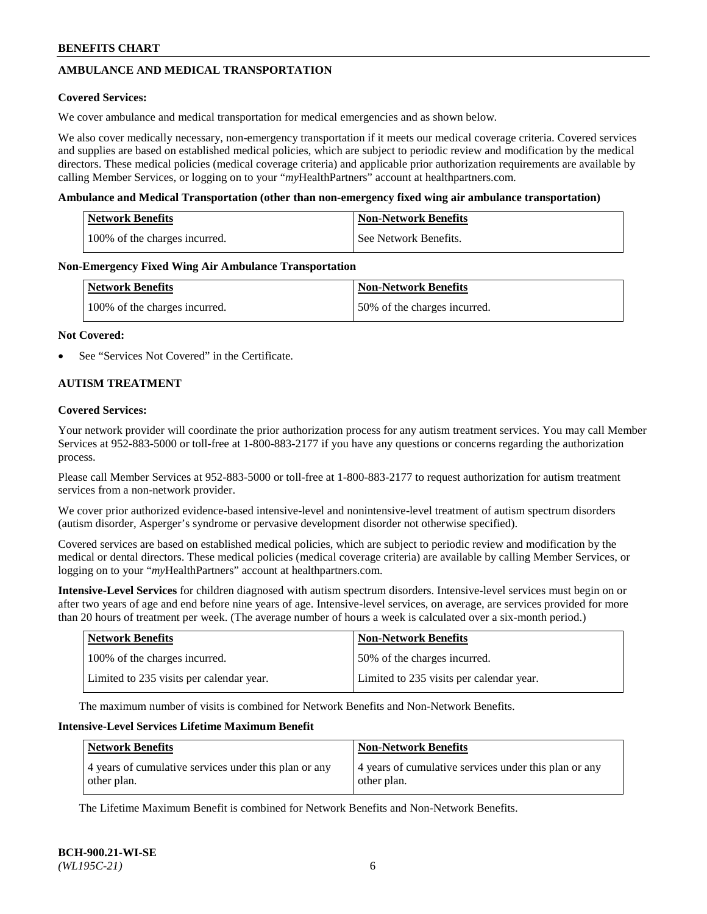# **AMBULANCE AND MEDICAL TRANSPORTATION**

### **Covered Services:**

We cover ambulance and medical transportation for medical emergencies and as shown below.

We also cover medically necessary, non-emergency transportation if it meets our medical coverage criteria. Covered services and supplies are based on established medical policies, which are subject to periodic review and modification by the medical directors. These medical policies (medical coverage criteria) and applicable prior authorization requirements are available by calling Member Services, or logging on to your "*my*HealthPartners" account a[t healthpartners.com.](https://www.healthpartners.com/hp/index.html)

### **Ambulance and Medical Transportation (other than non-emergency fixed wing air ambulance transportation)**

| <b>Network Benefits</b>       | <b>Non-Network Benefits</b> |
|-------------------------------|-----------------------------|
| 100% of the charges incurred. | See Network Benefits.       |

### **Non-Emergency Fixed Wing Air Ambulance Transportation**

| <b>Network Benefits</b>       | <b>Non-Network Benefits</b>  |
|-------------------------------|------------------------------|
| 100% of the charges incurred. | 50% of the charges incurred. |

### **Not Covered:**

See "Services Not Covered" in the Certificate.

# **AUTISM TREATMENT**

### **Covered Services:**

Your network provider will coordinate the prior authorization process for any autism treatment services. You may call Member Services at 952-883-5000 or toll-free at 1-800-883-2177 if you have any questions or concerns regarding the authorization process.

Please call Member Services at 952-883-5000 or toll-free at 1-800-883-2177 to request authorization for autism treatment services from a non-network provider.

We cover prior authorized evidence-based intensive-level and nonintensive-level treatment of autism spectrum disorders (autism disorder, Asperger's syndrome or pervasive development disorder not otherwise specified).

Covered services are based on established medical policies, which are subject to periodic review and modification by the medical or dental directors. These medical policies (medical coverage criteria) are available by calling Member Services, or logging on to your "*my*HealthPartners" account at [healthpartners.com.](https://www.healthpartners.com/hp/index.html)

**Intensive-Level Services** for children diagnosed with autism spectrum disorders. Intensive-level services must begin on or after two years of age and end before nine years of age. Intensive-level services, on average, are services provided for more than 20 hours of treatment per week. (The average number of hours a week is calculated over a six-month period.)

| <b>Network Benefits</b>                  | <b>Non-Network Benefits</b>              |
|------------------------------------------|------------------------------------------|
| 100% of the charges incurred.            | 50% of the charges incurred.             |
| Limited to 235 visits per calendar year. | Limited to 235 visits per calendar year. |

The maximum number of visits is combined for Network Benefits and Non-Network Benefits.

### **Intensive-Level Services Lifetime Maximum Benefit**

| <b>Network Benefits</b>                                              | <b>Non-Network Benefits</b>                                          |
|----------------------------------------------------------------------|----------------------------------------------------------------------|
| 4 years of cumulative services under this plan or any<br>other plan. | 4 years of cumulative services under this plan or any<br>other plan. |

The Lifetime Maximum Benefit is combined for Network Benefits and Non-Network Benefits.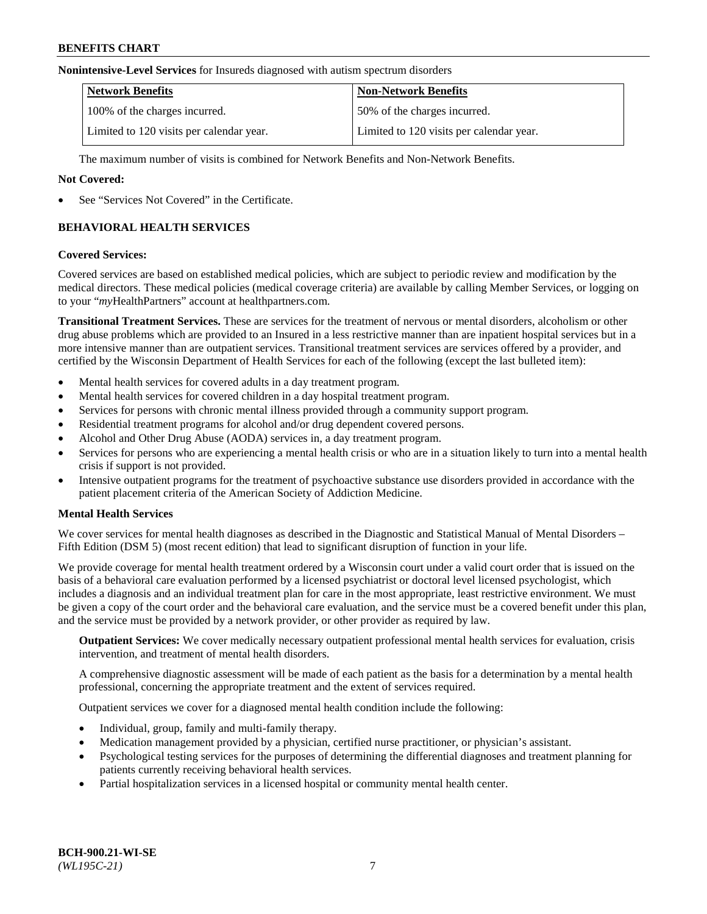### **Nonintensive-Level Services** for Insureds diagnosed with autism spectrum disorders

| <b>Network Benefits</b>                  | <b>Non-Network Benefits</b>              |
|------------------------------------------|------------------------------------------|
| 100% of the charges incurred.            | 50% of the charges incurred.             |
| Limited to 120 visits per calendar year. | Limited to 120 visits per calendar year. |

The maximum number of visits is combined for Network Benefits and Non-Network Benefits.

### **Not Covered:**

See "Services Not Covered" in the Certificate.

# **BEHAVIORAL HEALTH SERVICES**

### **Covered Services:**

Covered services are based on established medical policies, which are subject to periodic review and modification by the medical directors. These medical policies (medical coverage criteria) are available by calling Member Services, or logging on to your "*my*HealthPartners" account at [healthpartners.com.](https://www.healthpartners.com/hp/index.html)

**Transitional Treatment Services.** These are services for the treatment of nervous or mental disorders, alcoholism or other drug abuse problems which are provided to an Insured in a less restrictive manner than are inpatient hospital services but in a more intensive manner than are outpatient services. Transitional treatment services are services offered by a provider, and certified by the Wisconsin Department of Health Services for each of the following (except the last bulleted item):

- Mental health services for covered adults in a day treatment program.
- Mental health services for covered children in a day hospital treatment program.
- Services for persons with chronic mental illness provided through a community support program.
- Residential treatment programs for alcohol and/or drug dependent covered persons.
- Alcohol and Other Drug Abuse (AODA) services in, a day treatment program.
- Services for persons who are experiencing a mental health crisis or who are in a situation likely to turn into a mental health crisis if support is not provided.
- Intensive outpatient programs for the treatment of psychoactive substance use disorders provided in accordance with the patient placement criteria of the American Society of Addiction Medicine.

# **Mental Health Services**

We cover services for mental health diagnoses as described in the Diagnostic and Statistical Manual of Mental Disorders – Fifth Edition (DSM 5) (most recent edition) that lead to significant disruption of function in your life.

We provide coverage for mental health treatment ordered by a Wisconsin court under a valid court order that is issued on the basis of a behavioral care evaluation performed by a licensed psychiatrist or doctoral level licensed psychologist, which includes a diagnosis and an individual treatment plan for care in the most appropriate, least restrictive environment. We must be given a copy of the court order and the behavioral care evaluation, and the service must be a covered benefit under this plan, and the service must be provided by a network provider, or other provider as required by law.

**Outpatient Services:** We cover medically necessary outpatient professional mental health services for evaluation, crisis intervention, and treatment of mental health disorders.

A comprehensive diagnostic assessment will be made of each patient as the basis for a determination by a mental health professional, concerning the appropriate treatment and the extent of services required.

Outpatient services we cover for a diagnosed mental health condition include the following:

- Individual, group, family and multi-family therapy.
- Medication management provided by a physician, certified nurse practitioner, or physician's assistant.
- Psychological testing services for the purposes of determining the differential diagnoses and treatment planning for patients currently receiving behavioral health services.
- Partial hospitalization services in a licensed hospital or community mental health center.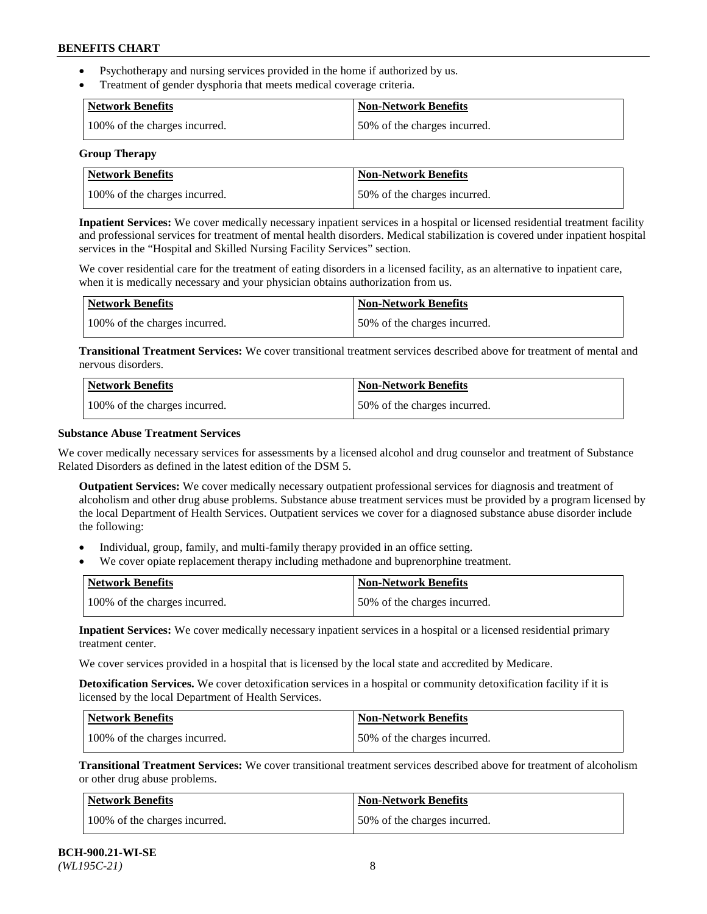- Psychotherapy and nursing services provided in the home if authorized by us.
- Treatment of gender dysphoria that meets medical coverage criteria.

| <b>Network Benefits</b>       | Non-Network Benefits         |
|-------------------------------|------------------------------|
| 100% of the charges incurred. | 50% of the charges incurred. |

#### **Group Therapy**

| Network Benefits              | <b>Non-Network Benefits</b>  |
|-------------------------------|------------------------------|
| 100% of the charges incurred. | 50% of the charges incurred. |

**Inpatient Services:** We cover medically necessary inpatient services in a hospital or licensed residential treatment facility and professional services for treatment of mental health disorders. Medical stabilization is covered under inpatient hospital services in the "Hospital and Skilled Nursing Facility Services" section.

We cover residential care for the treatment of eating disorders in a licensed facility, as an alternative to inpatient care, when it is medically necessary and your physician obtains authorization from us.

| Network Benefits              | <b>Non-Network Benefits</b>  |
|-------------------------------|------------------------------|
| 100% of the charges incurred. | 50% of the charges incurred. |

**Transitional Treatment Services:** We cover transitional treatment services described above for treatment of mental and nervous disorders.

| <b>Network Benefits</b>       | <b>Non-Network Benefits</b>  |
|-------------------------------|------------------------------|
| 100% of the charges incurred. | 50% of the charges incurred. |

### **Substance Abuse Treatment Services**

We cover medically necessary services for assessments by a licensed alcohol and drug counselor and treatment of Substance Related Disorders as defined in the latest edition of the DSM 5.

**Outpatient Services:** We cover medically necessary outpatient professional services for diagnosis and treatment of alcoholism and other drug abuse problems. Substance abuse treatment services must be provided by a program licensed by the local Department of Health Services. Outpatient services we cover for a diagnosed substance abuse disorder include the following:

- Individual, group, family, and multi-family therapy provided in an office setting.
- We cover opiate replacement therapy including methadone and buprenorphine treatment.

| <b>Network Benefits</b>       | <b>Non-Network Benefits</b>  |
|-------------------------------|------------------------------|
| 100% of the charges incurred. | 50% of the charges incurred. |

**Inpatient Services:** We cover medically necessary inpatient services in a hospital or a licensed residential primary treatment center.

We cover services provided in a hospital that is licensed by the local state and accredited by Medicare.

**Detoxification Services.** We cover detoxification services in a hospital or community detoxification facility if it is licensed by the local Department of Health Services.

| Network Benefits              | <b>Non-Network Benefits</b>  |
|-------------------------------|------------------------------|
| 100% of the charges incurred. | 50% of the charges incurred. |

**Transitional Treatment Services:** We cover transitional treatment services described above for treatment of alcoholism or other drug abuse problems.

| Network Benefits              | <b>Non-Network Benefits</b>  |
|-------------------------------|------------------------------|
| 100% of the charges incurred. | 50% of the charges incurred. |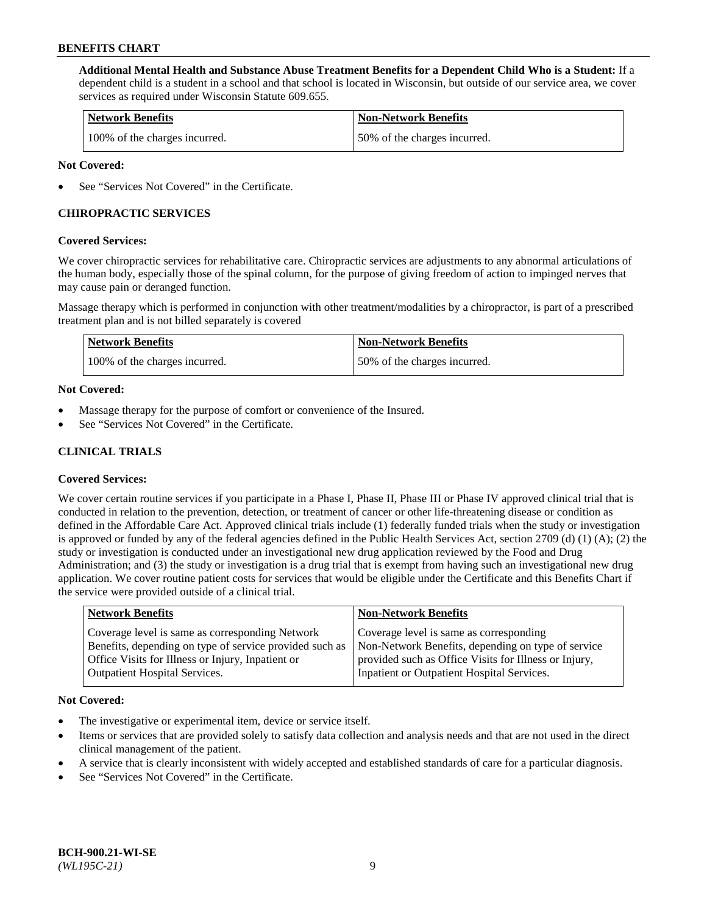**Additional Mental Health and Substance Abuse Treatment Benefits for a Dependent Child Who is a Student:** If a dependent child is a student in a school and that school is located in Wisconsin, but outside of our service area, we cover services as required under Wisconsin Statute 609.655.

| <b>Network Benefits</b>       | <b>Non-Network Benefits</b>  |
|-------------------------------|------------------------------|
| 100% of the charges incurred. | 50% of the charges incurred. |

### **Not Covered:**

See "Services Not Covered" in the Certificate.

# **CHIROPRACTIC SERVICES**

### **Covered Services:**

We cover chiropractic services for rehabilitative care. Chiropractic services are adjustments to any abnormal articulations of the human body, especially those of the spinal column, for the purpose of giving freedom of action to impinged nerves that may cause pain or deranged function.

Massage therapy which is performed in conjunction with other treatment/modalities by a chiropractor, is part of a prescribed treatment plan and is not billed separately is covered

| <b>Network Benefits</b>       | <b>Non-Network Benefits</b>  |
|-------------------------------|------------------------------|
| 100% of the charges incurred. | 50% of the charges incurred. |

### **Not Covered:**

- Massage therapy for the purpose of comfort or convenience of the Insured.
- See "Services Not Covered" in the Certificate.

# **CLINICAL TRIALS**

# **Covered Services:**

We cover certain routine services if you participate in a Phase I, Phase II, Phase III or Phase IV approved clinical trial that is conducted in relation to the prevention, detection, or treatment of cancer or other life-threatening disease or condition as defined in the Affordable Care Act. Approved clinical trials include (1) federally funded trials when the study or investigation is approved or funded by any of the federal agencies defined in the Public Health Services Act, section 2709 (d) (1) (A); (2) the study or investigation is conducted under an investigational new drug application reviewed by the Food and Drug Administration; and (3) the study or investigation is a drug trial that is exempt from having such an investigational new drug application. We cover routine patient costs for services that would be eligible under the Certificate and this Benefits Chart if the service were provided outside of a clinical trial.

| <b>Network Benefits</b>                                                                                                                                                                                 | <b>Non-Network Benefits</b>                                                                                                                                                                          |
|---------------------------------------------------------------------------------------------------------------------------------------------------------------------------------------------------------|------------------------------------------------------------------------------------------------------------------------------------------------------------------------------------------------------|
| Coverage level is same as corresponding Network<br>Benefits, depending on type of service provided such as<br>Office Visits for Illness or Injury, Inpatient or<br><b>Outpatient Hospital Services.</b> | Coverage level is same as corresponding<br>Non-Network Benefits, depending on type of service<br>provided such as Office Visits for Illness or Injury,<br>Inpatient or Outpatient Hospital Services. |
|                                                                                                                                                                                                         |                                                                                                                                                                                                      |

#### **Not Covered:**

- The investigative or experimental item, device or service itself.
- Items or services that are provided solely to satisfy data collection and analysis needs and that are not used in the direct clinical management of the patient.
- A service that is clearly inconsistent with widely accepted and established standards of care for a particular diagnosis.
- See "Services Not Covered" in the Certificate.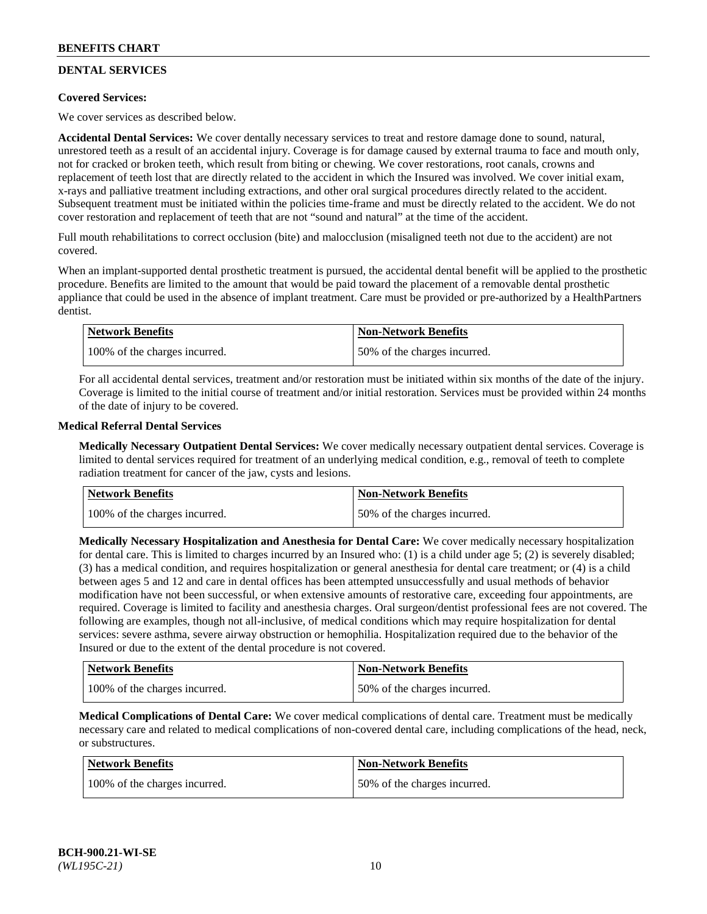# **DENTAL SERVICES**

# **Covered Services:**

We cover services as described below.

**Accidental Dental Services:** We cover dentally necessary services to treat and restore damage done to sound, natural, unrestored teeth as a result of an accidental injury. Coverage is for damage caused by external trauma to face and mouth only, not for cracked or broken teeth, which result from biting or chewing. We cover restorations, root canals, crowns and replacement of teeth lost that are directly related to the accident in which the Insured was involved. We cover initial exam, x-rays and palliative treatment including extractions, and other oral surgical procedures directly related to the accident. Subsequent treatment must be initiated within the policies time-frame and must be directly related to the accident. We do not cover restoration and replacement of teeth that are not "sound and natural" at the time of the accident.

Full mouth rehabilitations to correct occlusion (bite) and malocclusion (misaligned teeth not due to the accident) are not covered.

When an implant-supported dental prosthetic treatment is pursued, the accidental dental benefit will be applied to the prosthetic procedure. Benefits are limited to the amount that would be paid toward the placement of a removable dental prosthetic appliance that could be used in the absence of implant treatment. Care must be provided or pre-authorized by a HealthPartners dentist.

| <b>Network Benefits</b>       | <b>Non-Network Benefits</b>  |
|-------------------------------|------------------------------|
| 100% of the charges incurred. | 50% of the charges incurred. |

For all accidental dental services, treatment and/or restoration must be initiated within six months of the date of the injury. Coverage is limited to the initial course of treatment and/or initial restoration. Services must be provided within 24 months of the date of injury to be covered.

### **Medical Referral Dental Services**

**Medically Necessary Outpatient Dental Services:** We cover medically necessary outpatient dental services. Coverage is limited to dental services required for treatment of an underlying medical condition, e.g., removal of teeth to complete radiation treatment for cancer of the jaw, cysts and lesions.

| <b>Network Benefits</b>       | <b>Non-Network Benefits</b>  |
|-------------------------------|------------------------------|
| 100% of the charges incurred. | 50% of the charges incurred. |

**Medically Necessary Hospitalization and Anesthesia for Dental Care:** We cover medically necessary hospitalization for dental care. This is limited to charges incurred by an Insured who: (1) is a child under age  $5$ ; (2) is severely disabled; (3) has a medical condition, and requires hospitalization or general anesthesia for dental care treatment; or (4) is a child between ages 5 and 12 and care in dental offices has been attempted unsuccessfully and usual methods of behavior modification have not been successful, or when extensive amounts of restorative care, exceeding four appointments, are required. Coverage is limited to facility and anesthesia charges. Oral surgeon/dentist professional fees are not covered. The following are examples, though not all-inclusive, of medical conditions which may require hospitalization for dental services: severe asthma, severe airway obstruction or hemophilia. Hospitalization required due to the behavior of the Insured or due to the extent of the dental procedure is not covered.

| Network Benefits              | <b>Non-Network Benefits</b>  |
|-------------------------------|------------------------------|
| 100% of the charges incurred. | 50% of the charges incurred. |

**Medical Complications of Dental Care:** We cover medical complications of dental care. Treatment must be medically necessary care and related to medical complications of non-covered dental care, including complications of the head, neck, or substructures.

| Network Benefits              | <b>Non-Network Benefits</b>  |
|-------------------------------|------------------------------|
| 100% of the charges incurred. | 50% of the charges incurred. |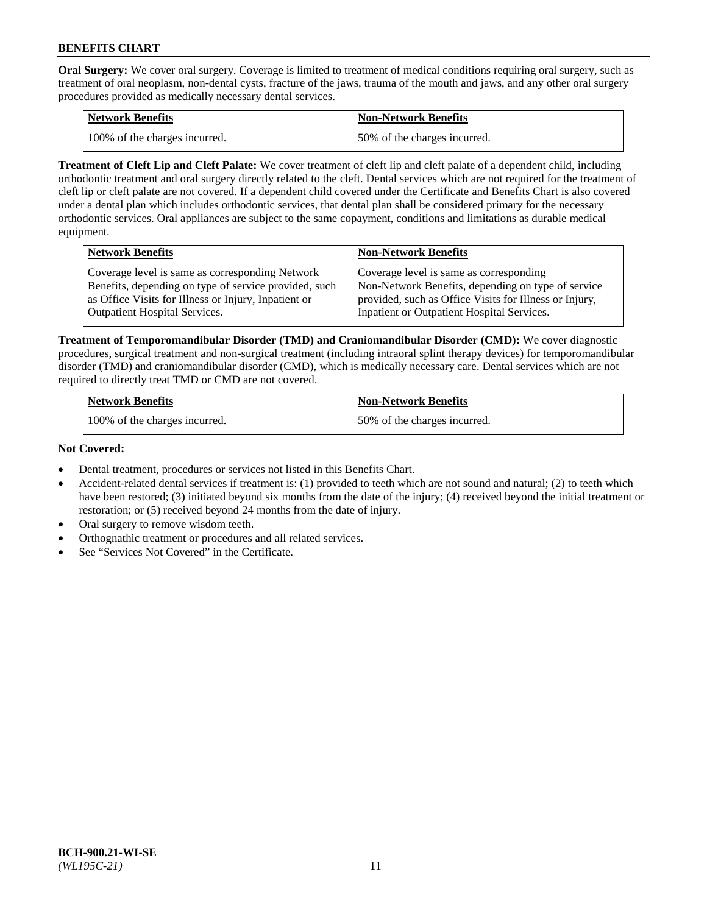**Oral Surgery:** We cover oral surgery. Coverage is limited to treatment of medical conditions requiring oral surgery, such as treatment of oral neoplasm, non-dental cysts, fracture of the jaws, trauma of the mouth and jaws, and any other oral surgery procedures provided as medically necessary dental services.

| <b>Network Benefits</b>       | Non-Network Benefits         |
|-------------------------------|------------------------------|
| 100% of the charges incurred. | 50% of the charges incurred. |

**Treatment of Cleft Lip and Cleft Palate:** We cover treatment of cleft lip and cleft palate of a dependent child, including orthodontic treatment and oral surgery directly related to the cleft. Dental services which are not required for the treatment of cleft lip or cleft palate are not covered. If a dependent child covered under the Certificate and Benefits Chart is also covered under a dental plan which includes orthodontic services, that dental plan shall be considered primary for the necessary orthodontic services. Oral appliances are subject to the same copayment, conditions and limitations as durable medical equipment.

| <b>Network Benefits</b>                               | <b>Non-Network Benefits</b>                            |
|-------------------------------------------------------|--------------------------------------------------------|
| Coverage level is same as corresponding Network       | Coverage level is same as corresponding                |
| Benefits, depending on type of service provided, such | Non-Network Benefits, depending on type of service     |
| as Office Visits for Illness or Injury, Inpatient or  | provided, such as Office Visits for Illness or Injury, |
| Outpatient Hospital Services.                         | Inpatient or Outpatient Hospital Services.             |

**Treatment of Temporomandibular Disorder (TMD) and Craniomandibular Disorder (CMD):** We cover diagnostic procedures, surgical treatment and non-surgical treatment (including intraoral splint therapy devices) for temporomandibular disorder (TMD) and craniomandibular disorder (CMD), which is medically necessary care. Dental services which are not required to directly treat TMD or CMD are not covered.

| <b>Network Benefits</b>       | <b>Non-Network Benefits</b>  |
|-------------------------------|------------------------------|
| 100% of the charges incurred. | 50% of the charges incurred. |

### **Not Covered:**

- Dental treatment, procedures or services not listed in this Benefits Chart.
- Accident-related dental services if treatment is: (1) provided to teeth which are not sound and natural; (2) to teeth which have been restored; (3) initiated beyond six months from the date of the injury; (4) received beyond the initial treatment or restoration; or (5) received beyond 24 months from the date of injury.
- Oral surgery to remove wisdom teeth.
- Orthognathic treatment or procedures and all related services.
- See "Services Not Covered" in the Certificate.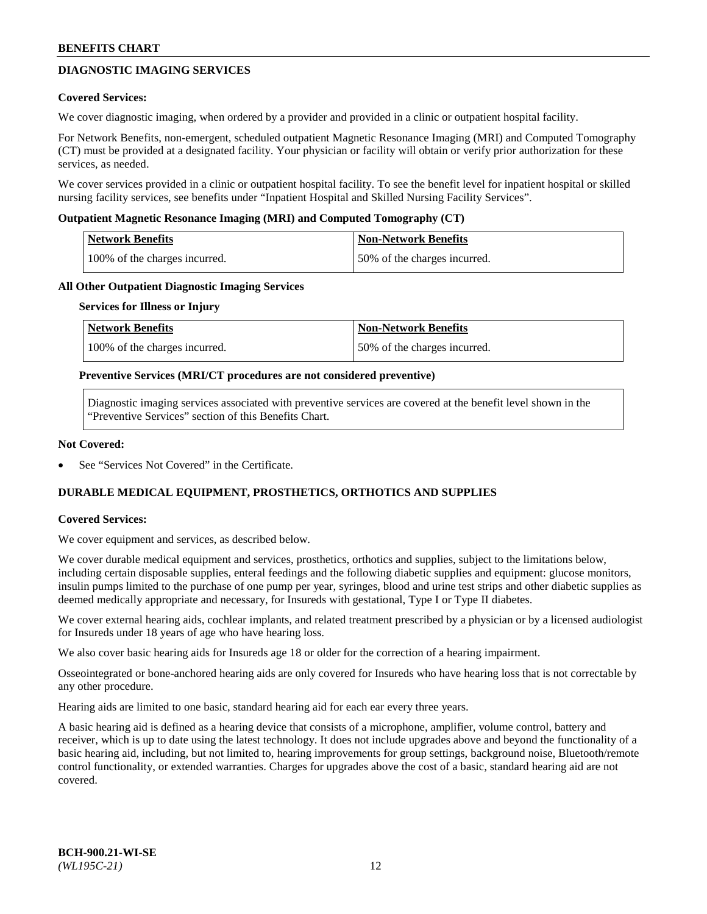# **DIAGNOSTIC IMAGING SERVICES**

### **Covered Services:**

We cover diagnostic imaging, when ordered by a provider and provided in a clinic or outpatient hospital facility.

For Network Benefits, non-emergent, scheduled outpatient Magnetic Resonance Imaging (MRI) and Computed Tomography (CT) must be provided at a designated facility. Your physician or facility will obtain or verify prior authorization for these services, as needed.

We cover services provided in a clinic or outpatient hospital facility. To see the benefit level for inpatient hospital or skilled nursing facility services, see benefits under "Inpatient Hospital and Skilled Nursing Facility Services".

### **Outpatient Magnetic Resonance Imaging (MRI) and Computed Tomography (CT)**

| <b>Network Benefits</b>       | <b>Non-Network Benefits</b>  |
|-------------------------------|------------------------------|
| 100% of the charges incurred. | 50% of the charges incurred. |

### **All Other Outpatient Diagnostic Imaging Services**

#### **Services for Illness or Injury**

| Network Benefits              | <b>Non-Network Benefits</b>  |
|-------------------------------|------------------------------|
| 100% of the charges incurred. | 50% of the charges incurred. |

### **Preventive Services (MRI/CT procedures are not considered preventive)**

Diagnostic imaging services associated with preventive services are covered at the benefit level shown in the "Preventive Services" section of this Benefits Chart.

### **Not Covered:**

See "Services Not Covered" in the Certificate.

# **DURABLE MEDICAL EQUIPMENT, PROSTHETICS, ORTHOTICS AND SUPPLIES**

# **Covered Services:**

We cover equipment and services, as described below.

We cover durable medical equipment and services, prosthetics, orthotics and supplies, subject to the limitations below, including certain disposable supplies, enteral feedings and the following diabetic supplies and equipment: glucose monitors, insulin pumps limited to the purchase of one pump per year, syringes, blood and urine test strips and other diabetic supplies as deemed medically appropriate and necessary, for Insureds with gestational, Type I or Type II diabetes.

We cover external hearing aids, cochlear implants, and related treatment prescribed by a physician or by a licensed audiologist for Insureds under 18 years of age who have hearing loss.

We also cover basic hearing aids for Insureds age 18 or older for the correction of a hearing impairment.

Osseointegrated or bone-anchored hearing aids are only covered for Insureds who have hearing loss that is not correctable by any other procedure.

Hearing aids are limited to one basic, standard hearing aid for each ear every three years.

A basic hearing aid is defined as a hearing device that consists of a microphone, amplifier, volume control, battery and receiver, which is up to date using the latest technology. It does not include upgrades above and beyond the functionality of a basic hearing aid, including, but not limited to, hearing improvements for group settings, background noise, Bluetooth/remote control functionality, or extended warranties. Charges for upgrades above the cost of a basic, standard hearing aid are not covered.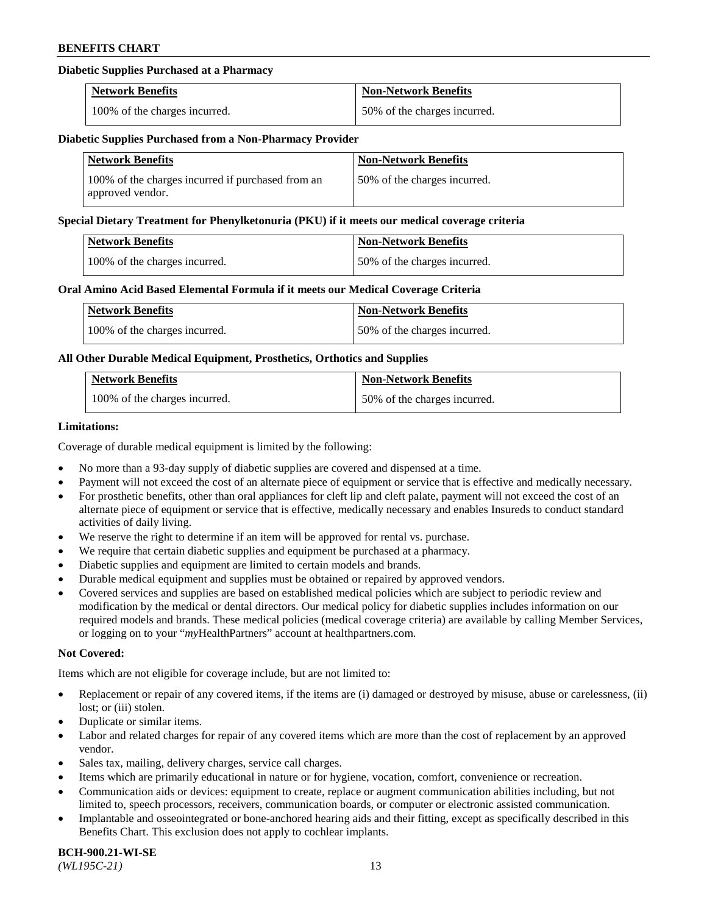# **Diabetic Supplies Purchased at a Pharmacy**

| <b>Network Benefits</b>       | <b>Non-Network Benefits</b>  |
|-------------------------------|------------------------------|
| 100% of the charges incurred. | 50% of the charges incurred. |

### **Diabetic Supplies Purchased from a Non-Pharmacy Provider**

| <b>Network Benefits</b>                                               | <b>Non-Network Benefits</b>  |
|-----------------------------------------------------------------------|------------------------------|
| 100% of the charges incurred if purchased from an<br>approved vendor. | 50% of the charges incurred. |

### **Special Dietary Treatment for Phenylketonuria (PKU) if it meets our medical coverage criteria**

| Network Benefits              | <b>Non-Network Benefits</b>  |
|-------------------------------|------------------------------|
| 100% of the charges incurred. | 50% of the charges incurred. |

### **Oral Amino Acid Based Elemental Formula if it meets our Medical Coverage Criteria**

| <b>Network Benefits</b>       | <b>Non-Network Benefits</b>  |
|-------------------------------|------------------------------|
| 100% of the charges incurred. | 50% of the charges incurred. |

# **All Other Durable Medical Equipment, Prosthetics, Orthotics and Supplies**

| <b>Network Benefits</b>       | <b>Non-Network Benefits</b>  |
|-------------------------------|------------------------------|
| 100% of the charges incurred. | 50% of the charges incurred. |

### **Limitations:**

Coverage of durable medical equipment is limited by the following:

- No more than a 93-day supply of diabetic supplies are covered and dispensed at a time.
- Payment will not exceed the cost of an alternate piece of equipment or service that is effective and medically necessary.
- For prosthetic benefits, other than oral appliances for cleft lip and cleft palate, payment will not exceed the cost of an alternate piece of equipment or service that is effective, medically necessary and enables Insureds to conduct standard activities of daily living.
- We reserve the right to determine if an item will be approved for rental vs. purchase.
- We require that certain diabetic supplies and equipment be purchased at a pharmacy.
- Diabetic supplies and equipment are limited to certain models and brands.
- Durable medical equipment and supplies must be obtained or repaired by approved vendors.
- Covered services and supplies are based on established medical policies which are subject to periodic review and modification by the medical or dental directors. Our medical policy for diabetic supplies includes information on our required models and brands. These medical policies (medical coverage criteria) are available by calling Member Services, or logging on to your "*my*HealthPartners" account a[t healthpartners.com.](https://www.healthpartners.com/hp/index.html)

# **Not Covered:**

Items which are not eligible for coverage include, but are not limited to:

- Replacement or repair of any covered items, if the items are (i) damaged or destroyed by misuse, abuse or carelessness, (ii) lost; or (iii) stolen.
- Duplicate or similar items.
- Labor and related charges for repair of any covered items which are more than the cost of replacement by an approved vendor.
- Sales tax, mailing, delivery charges, service call charges.
- Items which are primarily educational in nature or for hygiene, vocation, comfort, convenience or recreation.
- Communication aids or devices: equipment to create, replace or augment communication abilities including, but not limited to, speech processors, receivers, communication boards, or computer or electronic assisted communication.
- Implantable and osseointegrated or bone-anchored hearing aids and their fitting, except as specifically described in this Benefits Chart. This exclusion does not apply to cochlear implants.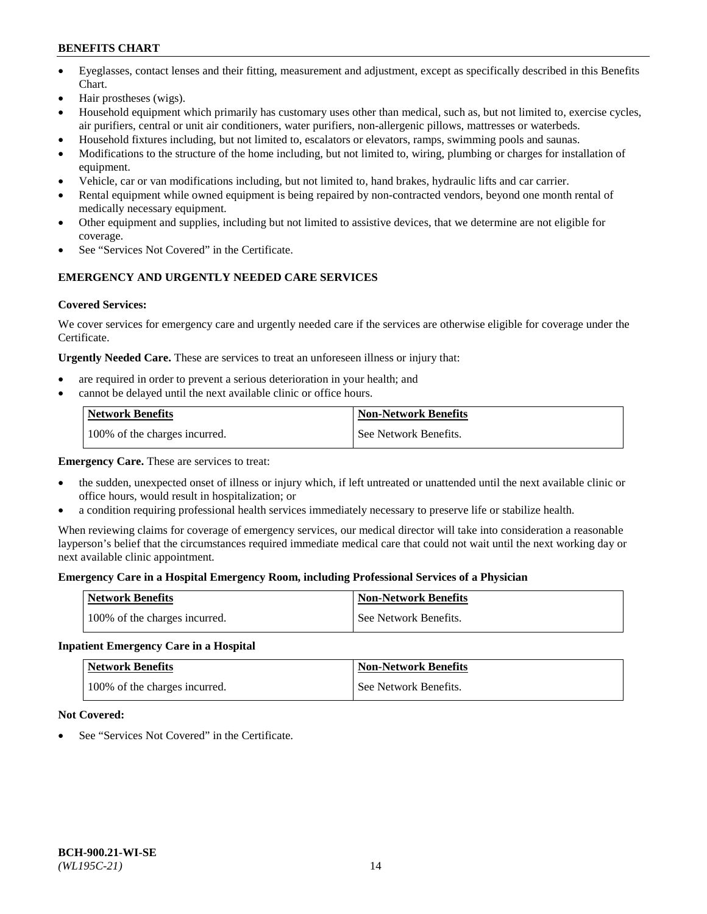- Eyeglasses, contact lenses and their fitting, measurement and adjustment, except as specifically described in this Benefits Chart.
- Hair prostheses (wigs).
- Household equipment which primarily has customary uses other than medical, such as, but not limited to, exercise cycles, air purifiers, central or unit air conditioners, water purifiers, non-allergenic pillows, mattresses or waterbeds.
- Household fixtures including, but not limited to, escalators or elevators, ramps, swimming pools and saunas.
- Modifications to the structure of the home including, but not limited to, wiring, plumbing or charges for installation of equipment.
- Vehicle, car or van modifications including, but not limited to, hand brakes, hydraulic lifts and car carrier.
- Rental equipment while owned equipment is being repaired by non-contracted vendors, beyond one month rental of medically necessary equipment.
- Other equipment and supplies, including but not limited to assistive devices, that we determine are not eligible for coverage.
- See "Services Not Covered" in the Certificate.

# **EMERGENCY AND URGENTLY NEEDED CARE SERVICES**

# **Covered Services:**

We cover services for emergency care and urgently needed care if the services are otherwise eligible for coverage under the Certificate.

**Urgently Needed Care.** These are services to treat an unforeseen illness or injury that:

- are required in order to prevent a serious deterioration in your health; and
- cannot be delayed until the next available clinic or office hours.

| <b>Network Benefits</b>       | <b>Non-Network Benefits</b> |
|-------------------------------|-----------------------------|
| 100% of the charges incurred. | See Network Benefits.       |

**Emergency Care.** These are services to treat:

- the sudden, unexpected onset of illness or injury which, if left untreated or unattended until the next available clinic or office hours, would result in hospitalization; or
- a condition requiring professional health services immediately necessary to preserve life or stabilize health.

When reviewing claims for coverage of emergency services, our medical director will take into consideration a reasonable layperson's belief that the circumstances required immediate medical care that could not wait until the next working day or next available clinic appointment.

# **Emergency Care in a Hospital Emergency Room, including Professional Services of a Physician**

| <b>Network Benefits</b>       | <b>Non-Network Benefits</b> |
|-------------------------------|-----------------------------|
| 100% of the charges incurred. | See Network Benefits.       |

# **Inpatient Emergency Care in a Hospital**

| <b>Network Benefits</b>       | <b>Non-Network Benefits</b> |
|-------------------------------|-----------------------------|
| 100% of the charges incurred. | See Network Benefits.       |

# **Not Covered:**

See "Services Not Covered" in the Certificate.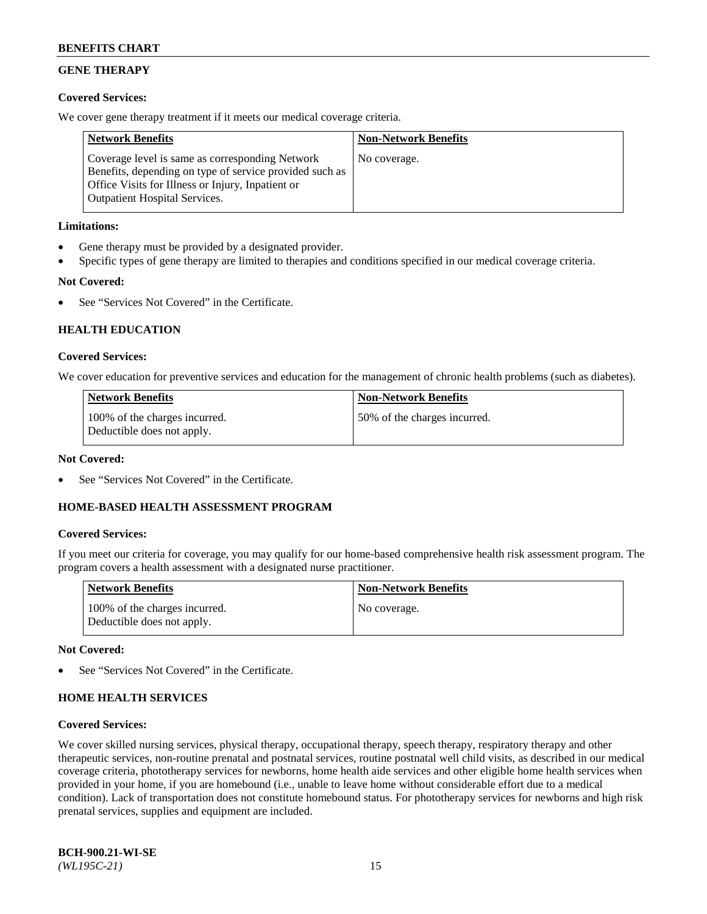# **GENE THERAPY**

# **Covered Services:**

We cover gene therapy treatment if it meets our medical coverage criteria.

| <b>Network Benefits</b>                                                                                                                                                                                 | <b>Non-Network Benefits</b> |
|---------------------------------------------------------------------------------------------------------------------------------------------------------------------------------------------------------|-----------------------------|
| Coverage level is same as corresponding Network<br>Benefits, depending on type of service provided such as<br>Office Visits for Illness or Injury, Inpatient or<br><b>Outpatient Hospital Services.</b> | No coverage.                |

# **Limitations:**

- Gene therapy must be provided by a designated provider.
- Specific types of gene therapy are limited to therapies and conditions specified in our medical coverage criteria.

# **Not Covered:**

See "Services Not Covered" in the Certificate.

# **HEALTH EDUCATION**

### **Covered Services:**

We cover education for preventive services and education for the management of chronic health problems (such as diabetes).

| <b>Network Benefits</b>                                     | <b>Non-Network Benefits</b>  |
|-------------------------------------------------------------|------------------------------|
| 100% of the charges incurred.<br>Deductible does not apply. | 50% of the charges incurred. |

### **Not Covered:**

See "Services Not Covered" in the Certificate.

# **HOME-BASED HEALTH ASSESSMENT PROGRAM**

#### **Covered Services:**

If you meet our criteria for coverage, you may qualify for our home-based comprehensive health risk assessment program. The program covers a health assessment with a designated nurse practitioner.

| Network Benefits                                            | <b>Non-Network Benefits</b> |
|-------------------------------------------------------------|-----------------------------|
| 100% of the charges incurred.<br>Deductible does not apply. | No coverage.                |

#### **Not Covered:**

See "Services Not Covered" in the Certificate.

# **HOME HEALTH SERVICES**

#### **Covered Services:**

We cover skilled nursing services, physical therapy, occupational therapy, speech therapy, respiratory therapy and other therapeutic services, non-routine prenatal and postnatal services, routine postnatal well child visits, as described in our medical coverage criteria, phototherapy services for newborns, home health aide services and other eligible home health services when provided in your home, if you are homebound (i.e., unable to leave home without considerable effort due to a medical condition). Lack of transportation does not constitute homebound status. For phototherapy services for newborns and high risk prenatal services, supplies and equipment are included.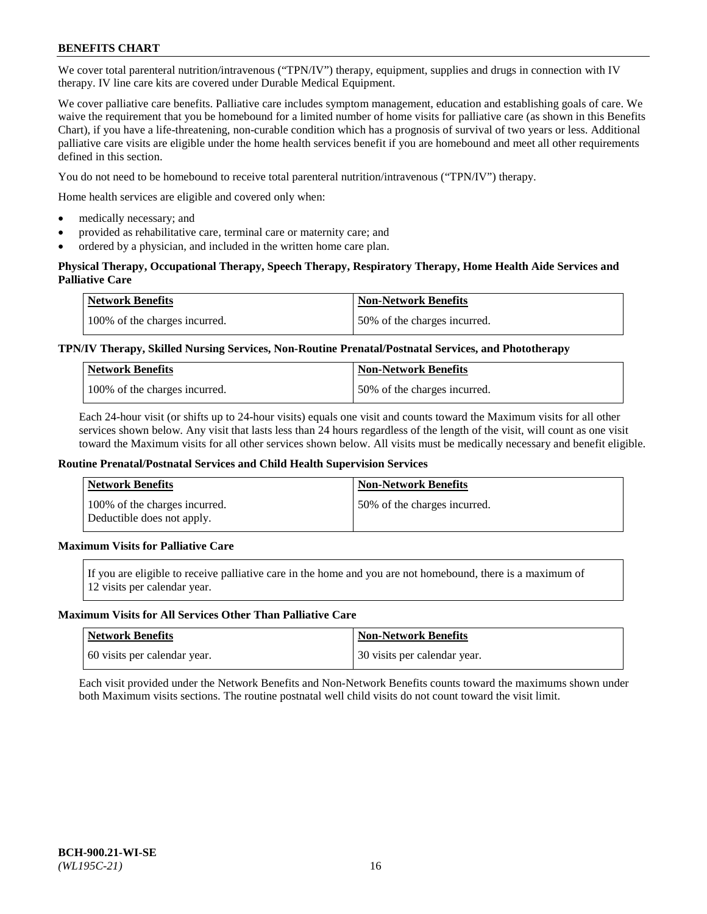We cover total parenteral nutrition/intravenous ("TPN/IV") therapy, equipment, supplies and drugs in connection with IV therapy. IV line care kits are covered under Durable Medical Equipment.

We cover palliative care benefits. Palliative care includes symptom management, education and establishing goals of care. We waive the requirement that you be homebound for a limited number of home visits for palliative care (as shown in this Benefits Chart), if you have a life-threatening, non-curable condition which has a prognosis of survival of two years or less. Additional palliative care visits are eligible under the home health services benefit if you are homebound and meet all other requirements defined in this section.

You do not need to be homebound to receive total parenteral nutrition/intravenous ("TPN/IV") therapy.

Home health services are eligible and covered only when:

- medically necessary; and
- provided as rehabilitative care, terminal care or maternity care; and
- ordered by a physician, and included in the written home care plan.

# **Physical Therapy, Occupational Therapy, Speech Therapy, Respiratory Therapy, Home Health Aide Services and Palliative Care**

| <b>Network Benefits</b>       | <b>Non-Network Benefits</b>  |
|-------------------------------|------------------------------|
| 100% of the charges incurred. | 50% of the charges incurred. |

# **TPN/IV Therapy, Skilled Nursing Services, Non-Routine Prenatal/Postnatal Services, and Phototherapy**

| <b>Network Benefits</b>       | <b>Non-Network Benefits</b>  |
|-------------------------------|------------------------------|
| 100% of the charges incurred. | 50% of the charges incurred. |

Each 24-hour visit (or shifts up to 24-hour visits) equals one visit and counts toward the Maximum visits for all other services shown below. Any visit that lasts less than 24 hours regardless of the length of the visit, will count as one visit toward the Maximum visits for all other services shown below. All visits must be medically necessary and benefit eligible.

### **Routine Prenatal/Postnatal Services and Child Health Supervision Services**

| Network Benefits                                            | <b>Non-Network Benefits</b>  |
|-------------------------------------------------------------|------------------------------|
| 100% of the charges incurred.<br>Deductible does not apply. | 50% of the charges incurred. |

# **Maximum Visits for Palliative Care**

If you are eligible to receive palliative care in the home and you are not homebound, there is a maximum of 12 visits per calendar year.

### **Maximum Visits for All Services Other Than Palliative Care**

| Network Benefits             | <b>Non-Network Benefits</b>  |
|------------------------------|------------------------------|
| 60 visits per calendar year. | 30 visits per calendar year. |

Each visit provided under the Network Benefits and Non-Network Benefits counts toward the maximums shown under both Maximum visits sections. The routine postnatal well child visits do not count toward the visit limit.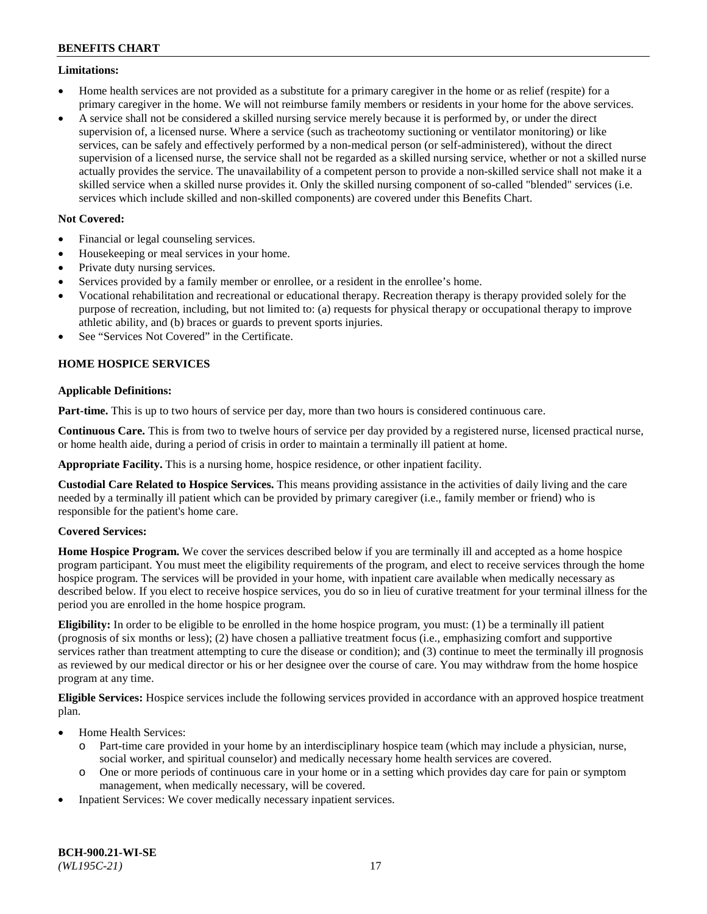### **Limitations:**

- Home health services are not provided as a substitute for a primary caregiver in the home or as relief (respite) for a primary caregiver in the home. We will not reimburse family members or residents in your home for the above services.
- A service shall not be considered a skilled nursing service merely because it is performed by, or under the direct supervision of, a licensed nurse. Where a service (such as tracheotomy suctioning or ventilator monitoring) or like services, can be safely and effectively performed by a non-medical person (or self-administered), without the direct supervision of a licensed nurse, the service shall not be regarded as a skilled nursing service, whether or not a skilled nurse actually provides the service. The unavailability of a competent person to provide a non-skilled service shall not make it a skilled service when a skilled nurse provides it. Only the skilled nursing component of so-called "blended" services (i.e. services which include skilled and non-skilled components) are covered under this Benefits Chart.

# **Not Covered:**

- Financial or legal counseling services.
- Housekeeping or meal services in your home.
- Private duty nursing services.
- Services provided by a family member or enrollee, or a resident in the enrollee's home.
- Vocational rehabilitation and recreational or educational therapy. Recreation therapy is therapy provided solely for the purpose of recreation, including, but not limited to: (a) requests for physical therapy or occupational therapy to improve athletic ability, and (b) braces or guards to prevent sports injuries.
- See "Services Not Covered" in the Certificate.

# **HOME HOSPICE SERVICES**

# **Applicable Definitions:**

**Part-time.** This is up to two hours of service per day, more than two hours is considered continuous care.

**Continuous Care.** This is from two to twelve hours of service per day provided by a registered nurse, licensed practical nurse, or home health aide, during a period of crisis in order to maintain a terminally ill patient at home.

**Appropriate Facility.** This is a nursing home, hospice residence, or other inpatient facility.

**Custodial Care Related to Hospice Services.** This means providing assistance in the activities of daily living and the care needed by a terminally ill patient which can be provided by primary caregiver (i.e., family member or friend) who is responsible for the patient's home care.

# **Covered Services:**

**Home Hospice Program.** We cover the services described below if you are terminally ill and accepted as a home hospice program participant. You must meet the eligibility requirements of the program, and elect to receive services through the home hospice program. The services will be provided in your home, with inpatient care available when medically necessary as described below. If you elect to receive hospice services, you do so in lieu of curative treatment for your terminal illness for the period you are enrolled in the home hospice program.

**Eligibility:** In order to be eligible to be enrolled in the home hospice program, you must: (1) be a terminally ill patient (prognosis of six months or less); (2) have chosen a palliative treatment focus (i.e., emphasizing comfort and supportive services rather than treatment attempting to cure the disease or condition); and (3) continue to meet the terminally ill prognosis as reviewed by our medical director or his or her designee over the course of care. You may withdraw from the home hospice program at any time.

**Eligible Services:** Hospice services include the following services provided in accordance with an approved hospice treatment plan.

- Home Health Services:
	- o Part-time care provided in your home by an interdisciplinary hospice team (which may include a physician, nurse, social worker, and spiritual counselor) and medically necessary home health services are covered.
	- o One or more periods of continuous care in your home or in a setting which provides day care for pain or symptom management, when medically necessary, will be covered.
- Inpatient Services: We cover medically necessary inpatient services.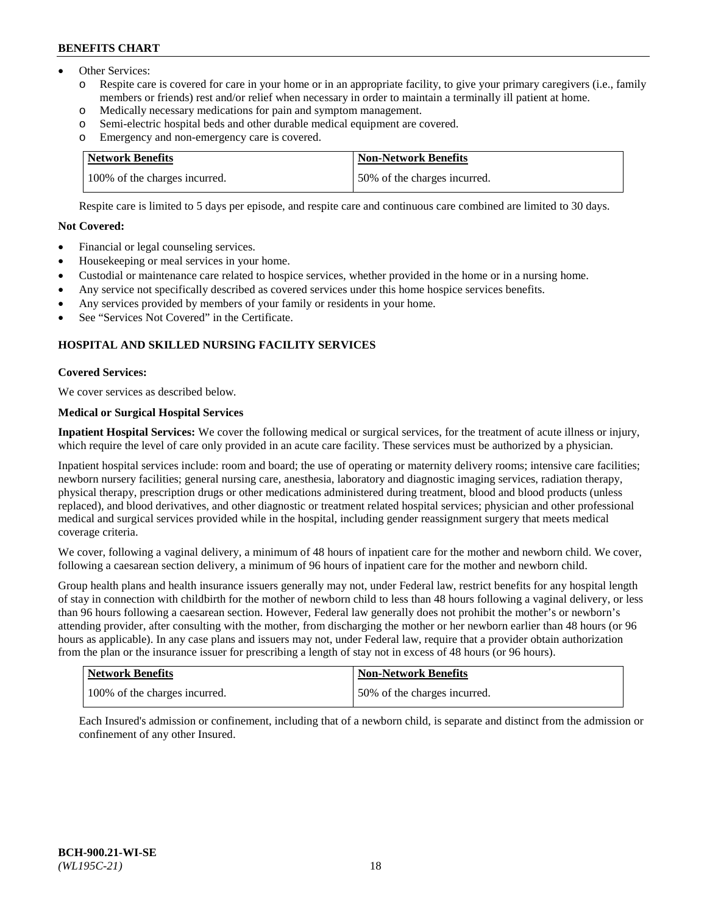- Other Services:
	- Respite care is covered for care in your home or in an appropriate facility, to give your primary caregivers (i.e., family members or friends) rest and/or relief when necessary in order to maintain a terminally ill patient at home.
	- o Medically necessary medications for pain and symptom management.
	- o Semi-electric hospital beds and other durable medical equipment are covered.
	- Emergency and non-emergency care is covered.

| Network Benefits              | <b>Non-Network Benefits</b>  |
|-------------------------------|------------------------------|
| 100% of the charges incurred. | 50% of the charges incurred. |

Respite care is limited to 5 days per episode, and respite care and continuous care combined are limited to 30 days.

# **Not Covered:**

- Financial or legal counseling services.
- Housekeeping or meal services in your home.
- Custodial or maintenance care related to hospice services, whether provided in the home or in a nursing home.
- Any service not specifically described as covered services under this home hospice services benefits.
- Any services provided by members of your family or residents in your home.
- See "Services Not Covered" in the Certificate.

# **HOSPITAL AND SKILLED NURSING FACILITY SERVICES**

# **Covered Services:**

We cover services as described below.

# **Medical or Surgical Hospital Services**

**Inpatient Hospital Services:** We cover the following medical or surgical services, for the treatment of acute illness or injury, which require the level of care only provided in an acute care facility. These services must be authorized by a physician.

Inpatient hospital services include: room and board; the use of operating or maternity delivery rooms; intensive care facilities; newborn nursery facilities; general nursing care, anesthesia, laboratory and diagnostic imaging services, radiation therapy, physical therapy, prescription drugs or other medications administered during treatment, blood and blood products (unless replaced), and blood derivatives, and other diagnostic or treatment related hospital services; physician and other professional medical and surgical services provided while in the hospital, including gender reassignment surgery that meets medical coverage criteria.

We cover, following a vaginal delivery, a minimum of 48 hours of inpatient care for the mother and newborn child. We cover, following a caesarean section delivery, a minimum of 96 hours of inpatient care for the mother and newborn child.

Group health plans and health insurance issuers generally may not, under Federal law, restrict benefits for any hospital length of stay in connection with childbirth for the mother of newborn child to less than 48 hours following a vaginal delivery, or less than 96 hours following a caesarean section. However, Federal law generally does not prohibit the mother's or newborn's attending provider, after consulting with the mother, from discharging the mother or her newborn earlier than 48 hours (or 96 hours as applicable). In any case plans and issuers may not, under Federal law, require that a provider obtain authorization from the plan or the insurance issuer for prescribing a length of stay not in excess of 48 hours (or 96 hours).

| <b>Network Benefits</b>       | Non-Network Benefits         |
|-------------------------------|------------------------------|
| 100% of the charges incurred. | 50% of the charges incurred. |

Each Insured's admission or confinement, including that of a newborn child, is separate and distinct from the admission or confinement of any other Insured.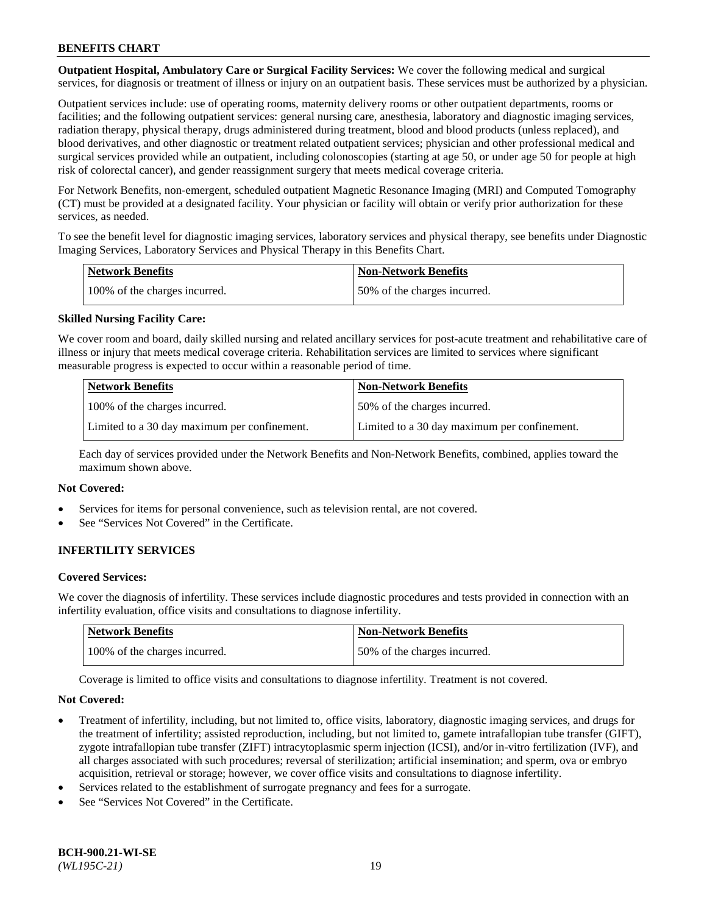**Outpatient Hospital, Ambulatory Care or Surgical Facility Services:** We cover the following medical and surgical services, for diagnosis or treatment of illness or injury on an outpatient basis. These services must be authorized by a physician.

Outpatient services include: use of operating rooms, maternity delivery rooms or other outpatient departments, rooms or facilities; and the following outpatient services: general nursing care, anesthesia, laboratory and diagnostic imaging services, radiation therapy, physical therapy, drugs administered during treatment, blood and blood products (unless replaced), and blood derivatives, and other diagnostic or treatment related outpatient services; physician and other professional medical and surgical services provided while an outpatient, including colonoscopies (starting at age 50, or under age 50 for people at high risk of colorectal cancer), and gender reassignment surgery that meets medical coverage criteria.

For Network Benefits, non-emergent, scheduled outpatient Magnetic Resonance Imaging (MRI) and Computed Tomography (CT) must be provided at a designated facility. Your physician or facility will obtain or verify prior authorization for these services, as needed.

To see the benefit level for diagnostic imaging services, laboratory services and physical therapy, see benefits under Diagnostic Imaging Services, Laboratory Services and Physical Therapy in this Benefits Chart.

| <b>Network Benefits</b>       | <b>Non-Network Benefits</b>  |
|-------------------------------|------------------------------|
| 100% of the charges incurred. | 50% of the charges incurred. |

# **Skilled Nursing Facility Care:**

We cover room and board, daily skilled nursing and related ancillary services for post-acute treatment and rehabilitative care of illness or injury that meets medical coverage criteria. Rehabilitation services are limited to services where significant measurable progress is expected to occur within a reasonable period of time.

| <b>Network Benefits</b>                      | <b>Non-Network Benefits</b>                  |
|----------------------------------------------|----------------------------------------------|
| 100% of the charges incurred.                | 150% of the charges incurred.                |
| Limited to a 30 day maximum per confinement. | Limited to a 30 day maximum per confinement. |

Each day of services provided under the Network Benefits and Non-Network Benefits, combined, applies toward the maximum shown above.

#### **Not Covered:**

- Services for items for personal convenience, such as television rental, are not covered.
- See "Services Not Covered" in the Certificate.

# **INFERTILITY SERVICES**

#### **Covered Services:**

We cover the diagnosis of infertility. These services include diagnostic procedures and tests provided in connection with an infertility evaluation, office visits and consultations to diagnose infertility.

| <b>Network Benefits</b>       | <b>Non-Network Benefits</b>  |
|-------------------------------|------------------------------|
| 100% of the charges incurred. | 50% of the charges incurred. |

Coverage is limited to office visits and consultations to diagnose infertility. Treatment is not covered.

#### **Not Covered:**

- Treatment of infertility, including, but not limited to, office visits, laboratory, diagnostic imaging services, and drugs for the treatment of infertility; assisted reproduction, including, but not limited to, gamete intrafallopian tube transfer (GIFT), zygote intrafallopian tube transfer (ZIFT) intracytoplasmic sperm injection (ICSI), and/or in-vitro fertilization (IVF), and all charges associated with such procedures; reversal of sterilization; artificial insemination; and sperm, ova or embryo acquisition, retrieval or storage; however, we cover office visits and consultations to diagnose infertility.
- Services related to the establishment of surrogate pregnancy and fees for a surrogate.
- See "Services Not Covered" in the Certificate.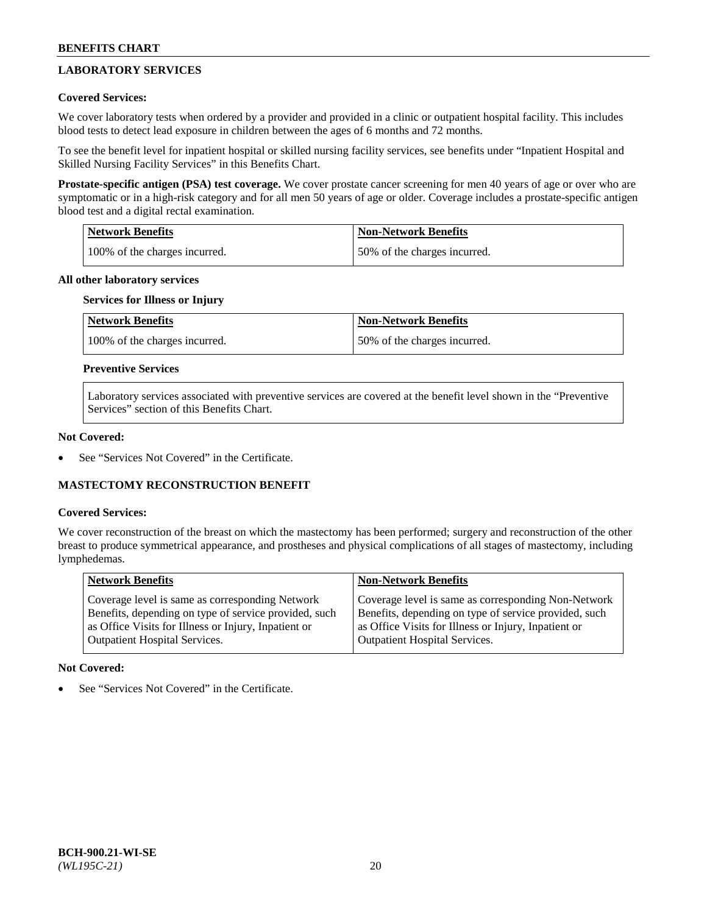# **LABORATORY SERVICES**

# **Covered Services:**

We cover laboratory tests when ordered by a provider and provided in a clinic or outpatient hospital facility. This includes blood tests to detect lead exposure in children between the ages of 6 months and 72 months.

To see the benefit level for inpatient hospital or skilled nursing facility services, see benefits under "Inpatient Hospital and Skilled Nursing Facility Services" in this Benefits Chart.

**Prostate-specific antigen (PSA) test coverage.** We cover prostate cancer screening for men 40 years of age or over who are symptomatic or in a high-risk category and for all men 50 years of age or older. Coverage includes a prostate-specific antigen blood test and a digital rectal examination.

| Network Benefits              | <b>Non-Network Benefits</b>  |
|-------------------------------|------------------------------|
| 100% of the charges incurred. | 50% of the charges incurred. |

### **All other laboratory services**

# **Services for Illness or Injury**

| <b>Network Benefits</b>       | <b>Non-Network Benefits</b>  |
|-------------------------------|------------------------------|
| 100% of the charges incurred. | 50% of the charges incurred. |

# **Preventive Services**

Laboratory services associated with preventive services are covered at the benefit level shown in the "Preventive Services" section of this Benefits Chart.

### **Not Covered:**

See "Services Not Covered" in the Certificate.

# **MASTECTOMY RECONSTRUCTION BENEFIT**

#### **Covered Services:**

We cover reconstruction of the breast on which the mastectomy has been performed; surgery and reconstruction of the other breast to produce symmetrical appearance, and prostheses and physical complications of all stages of mastectomy, including lymphedemas.

| <b>Network Benefits</b>                               | <b>Non-Network Benefits</b>                           |
|-------------------------------------------------------|-------------------------------------------------------|
| Coverage level is same as corresponding Network       | Coverage level is same as corresponding Non-Network   |
| Benefits, depending on type of service provided, such | Benefits, depending on type of service provided, such |
| as Office Visits for Illness or Injury, Inpatient or  | as Office Visits for Illness or Injury, Inpatient or  |
| Outpatient Hospital Services.                         | <b>Outpatient Hospital Services.</b>                  |

#### **Not Covered:**

See "Services Not Covered" in the Certificate.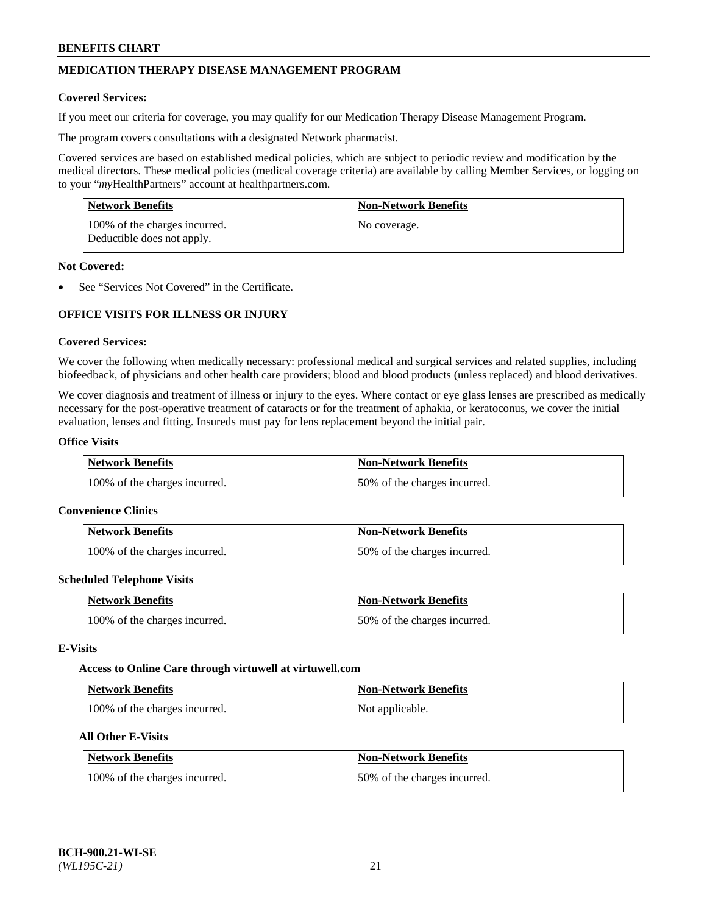# **MEDICATION THERAPY DISEASE MANAGEMENT PROGRAM**

### **Covered Services:**

If you meet our criteria for coverage, you may qualify for our Medication Therapy Disease Management Program.

The program covers consultations with a designated Network pharmacist.

Covered services are based on established medical policies, which are subject to periodic review and modification by the medical directors. These medical policies (medical coverage criteria) are available by calling Member Services, or logging on to your "*my*HealthPartners" account at [healthpartners.com.](http://www.healthpartners.com/)

| Network Benefits                                            | <b>Non-Network Benefits</b> |
|-------------------------------------------------------------|-----------------------------|
| 100% of the charges incurred.<br>Deductible does not apply. | No coverage.                |

### **Not Covered:**

See "Services Not Covered" in the Certificate.

# **OFFICE VISITS FOR ILLNESS OR INJURY**

### **Covered Services:**

We cover the following when medically necessary: professional medical and surgical services and related supplies, including biofeedback, of physicians and other health care providers; blood and blood products (unless replaced) and blood derivatives.

We cover diagnosis and treatment of illness or injury to the eyes. Where contact or eye glass lenses are prescribed as medically necessary for the post-operative treatment of cataracts or for the treatment of aphakia, or keratoconus, we cover the initial evaluation, lenses and fitting. Insureds must pay for lens replacement beyond the initial pair.

# **Office Visits**

| <b>Network Benefits</b>       | <b>Non-Network Benefits</b>  |
|-------------------------------|------------------------------|
| 100% of the charges incurred. | 50% of the charges incurred. |

#### **Convenience Clinics**

| Network Benefits              | <b>Non-Network Benefits</b>  |
|-------------------------------|------------------------------|
| 100% of the charges incurred. | 50% of the charges incurred. |

#### **Scheduled Telephone Visits**

| <b>Network Benefits</b>       | <b>Non-Network Benefits</b>  |
|-------------------------------|------------------------------|
| 100% of the charges incurred. | 50% of the charges incurred. |

### **E-Visits**

#### **Access to Online Care through virtuwell a[t virtuwell.com](https://www.virtuwell.com/)**

| <b>Network Benefits</b>       | <b>Non-Network Benefits</b> |
|-------------------------------|-----------------------------|
| 100% of the charges incurred. | Not applicable.             |

# **All Other E-Visits**

| <b>Network Benefits</b>       | <b>Non-Network Benefits</b>  |
|-------------------------------|------------------------------|
| 100% of the charges incurred. | 50% of the charges incurred. |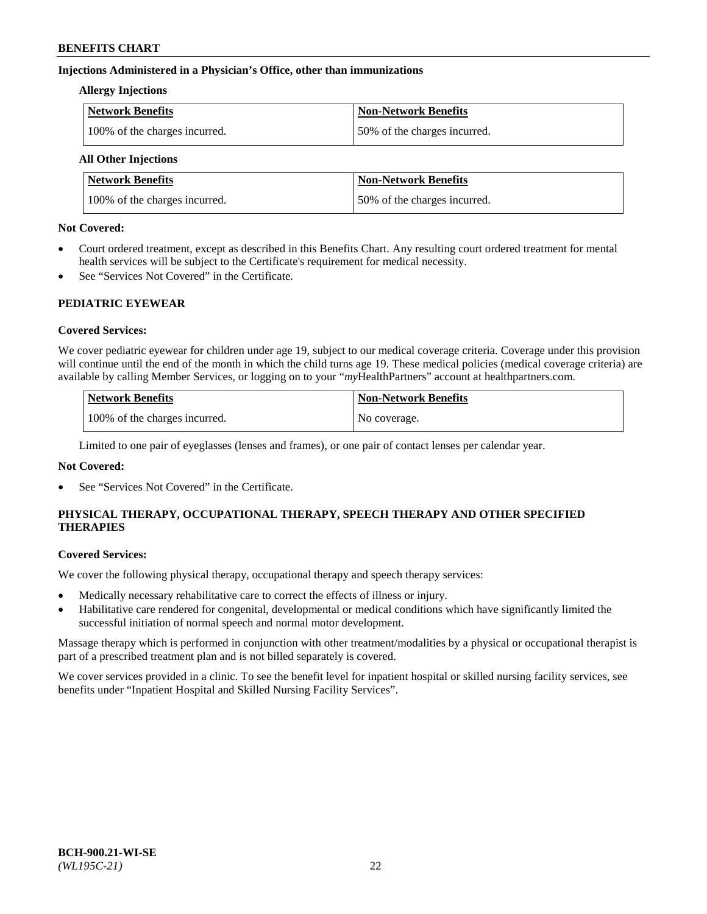# **Injections Administered in a Physician's Office, other than immunizations**

### **Allergy Injections**

| Network Benefits              | <b>Non-Network Benefits</b>  |
|-------------------------------|------------------------------|
| 100% of the charges incurred. | 50% of the charges incurred. |

# **All Other Injections**

| <b>Network Benefits</b>       | <b>Non-Network Benefits</b>  |
|-------------------------------|------------------------------|
| 100% of the charges incurred. | 50% of the charges incurred. |

### **Not Covered:**

- Court ordered treatment, except as described in this Benefits Chart. Any resulting court ordered treatment for mental health services will be subject to the Certificate's requirement for medical necessity.
- See "Services Not Covered" in the Certificate.

# **PEDIATRIC EYEWEAR**

# **Covered Services:**

We cover pediatric eyewear for children under age 19, subject to our medical coverage criteria. Coverage under this provision will continue until the end of the month in which the child turns age 19. These medical policies (medical coverage criteria) are available by calling Member Services, or logging on to your "*my*HealthPartners" account a[t healthpartners.com.](https://www.healthpartners.com/hp/index.html)

| Network Benefits              | <b>Non-Network Benefits</b> |
|-------------------------------|-----------------------------|
| 100% of the charges incurred. | No coverage.                |

Limited to one pair of eyeglasses (lenses and frames), or one pair of contact lenses per calendar year.

# **Not Covered:**

See "Services Not Covered" in the Certificate.

# **PHYSICAL THERAPY, OCCUPATIONAL THERAPY, SPEECH THERAPY AND OTHER SPECIFIED THERAPIES**

#### **Covered Services:**

We cover the following physical therapy, occupational therapy and speech therapy services:

- Medically necessary rehabilitative care to correct the effects of illness or injury.
- Habilitative care rendered for congenital, developmental or medical conditions which have significantly limited the successful initiation of normal speech and normal motor development.

Massage therapy which is performed in conjunction with other treatment/modalities by a physical or occupational therapist is part of a prescribed treatment plan and is not billed separately is covered.

We cover services provided in a clinic. To see the benefit level for inpatient hospital or skilled nursing facility services, see benefits under "Inpatient Hospital and Skilled Nursing Facility Services".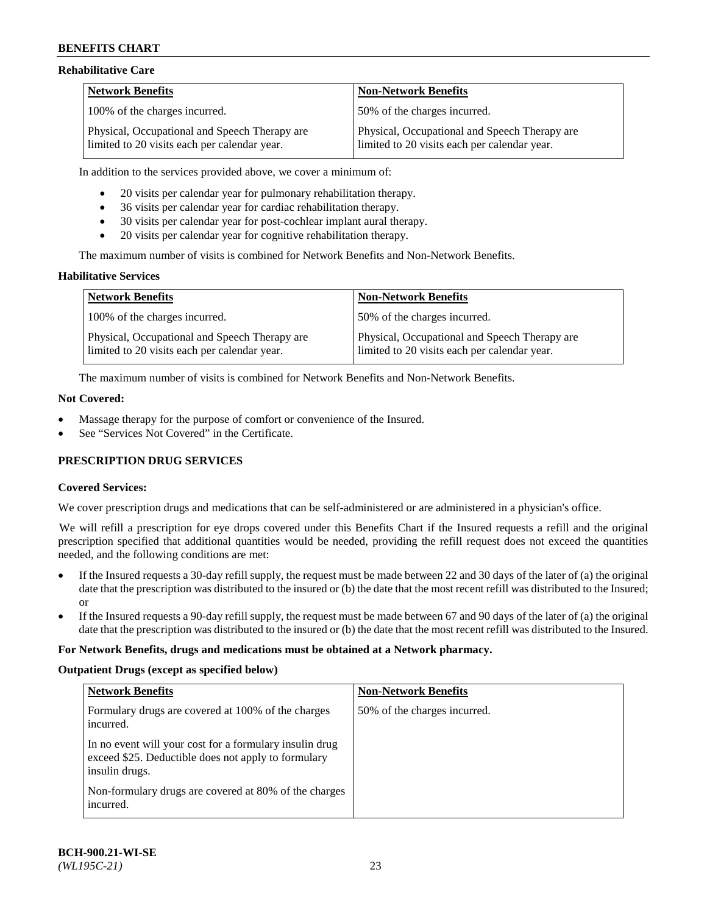### **Rehabilitative Care**

| <b>Network Benefits</b>                                                                       | <b>Non-Network Benefits</b>                                                                   |
|-----------------------------------------------------------------------------------------------|-----------------------------------------------------------------------------------------------|
| 100% of the charges incurred.                                                                 | 50% of the charges incurred.                                                                  |
| Physical, Occupational and Speech Therapy are<br>limited to 20 visits each per calendar year. | Physical, Occupational and Speech Therapy are<br>limited to 20 visits each per calendar year. |

In addition to the services provided above, we cover a minimum of:

- 20 visits per calendar year for pulmonary rehabilitation therapy.
- 36 visits per calendar year for cardiac rehabilitation therapy.
- 30 visits per calendar year for post-cochlear implant aural therapy.
- 20 visits per calendar year for cognitive rehabilitation therapy.

The maximum number of visits is combined for Network Benefits and Non-Network Benefits.

# **Habilitative Services**

| <b>Network Benefits</b>                                                                       | <b>Non-Network Benefits</b>                                                                   |
|-----------------------------------------------------------------------------------------------|-----------------------------------------------------------------------------------------------|
| 100% of the charges incurred.                                                                 | 50% of the charges incurred.                                                                  |
| Physical, Occupational and Speech Therapy are<br>limited to 20 visits each per calendar year. | Physical, Occupational and Speech Therapy are<br>limited to 20 visits each per calendar year. |

The maximum number of visits is combined for Network Benefits and Non-Network Benefits.

### **Not Covered:**

- Massage therapy for the purpose of comfort or convenience of the Insured.
- See "Services Not Covered" in the Certificate.

# **PRESCRIPTION DRUG SERVICES**

# **Covered Services:**

We cover prescription drugs and medications that can be self-administered or are administered in a physician's office.

We will refill a prescription for eye drops covered under this Benefits Chart if the Insured requests a refill and the original prescription specified that additional quantities would be needed, providing the refill request does not exceed the quantities needed, and the following conditions are met:

- If the Insured requests a 30-day refill supply, the request must be made between 22 and 30 days of the later of (a) the original date that the prescription was distributed to the insured or (b) the date that the most recent refill was distributed to the Insured; or
- If the Insured requests a 90-day refill supply, the request must be made between 67 and 90 days of the later of (a) the original date that the prescription was distributed to the insured or (b) the date that the most recent refill was distributed to the Insured.

#### **For Network Benefits, drugs and medications must be obtained at a Network pharmacy.**

#### **Outpatient Drugs (except as specified below)**

| <b>Network Benefits</b>                                                                                                          | <b>Non-Network Benefits</b>  |
|----------------------------------------------------------------------------------------------------------------------------------|------------------------------|
| Formulary drugs are covered at 100% of the charges<br>incurred.                                                                  | 50% of the charges incurred. |
| In no event will your cost for a formulary insulin drug<br>exceed \$25. Deductible does not apply to formulary<br>insulin drugs. |                              |
| Non-formulary drugs are covered at 80% of the charges<br>incurred.                                                               |                              |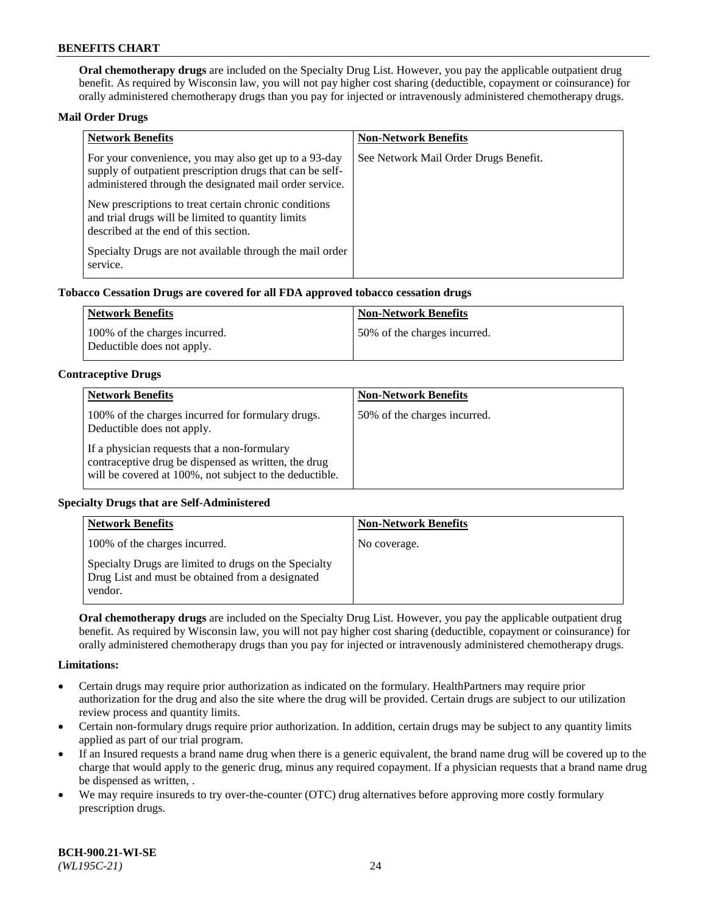**Oral chemotherapy drugs** are included on the Specialty Drug List. However, you pay the applicable outpatient drug benefit. As required by Wisconsin law, you will not pay higher cost sharing (deductible, copayment or coinsurance) for orally administered chemotherapy drugs than you pay for injected or intravenously administered chemotherapy drugs.

### **Mail Order Drugs**

| <b>Network Benefits</b>                                                                                                                                                       | <b>Non-Network Benefits</b>           |
|-------------------------------------------------------------------------------------------------------------------------------------------------------------------------------|---------------------------------------|
| For your convenience, you may also get up to a 93-day<br>supply of outpatient prescription drugs that can be self-<br>administered through the designated mail order service. | See Network Mail Order Drugs Benefit. |
| New prescriptions to treat certain chronic conditions<br>and trial drugs will be limited to quantity limits<br>described at the end of this section.                          |                                       |
| Specialty Drugs are not available through the mail order<br>service.                                                                                                          |                                       |

### **Tobacco Cessation Drugs are covered for all FDA approved tobacco cessation drugs**

| Network Benefits                                            | Non-Network Benefits         |
|-------------------------------------------------------------|------------------------------|
| 100% of the charges incurred.<br>Deductible does not apply. | 50% of the charges incurred. |

### **Contraceptive Drugs**

| <b>Network Benefits</b>                                                                                                                                         | <b>Non-Network Benefits</b>  |
|-----------------------------------------------------------------------------------------------------------------------------------------------------------------|------------------------------|
| 100% of the charges incurred for formulary drugs.<br>Deductible does not apply.                                                                                 | 50% of the charges incurred. |
| If a physician requests that a non-formulary<br>contraceptive drug be dispensed as written, the drug<br>will be covered at 100%, not subject to the deductible. |                              |

# **Specialty Drugs that are Self-Administered**

| <b>Network Benefits</b>                                                                                              | <b>Non-Network Benefits</b> |
|----------------------------------------------------------------------------------------------------------------------|-----------------------------|
| 100% of the charges incurred.                                                                                        | No coverage.                |
| Specialty Drugs are limited to drugs on the Specialty<br>Drug List and must be obtained from a designated<br>vendor. |                             |

**Oral chemotherapy drugs** are included on the Specialty Drug List. However, you pay the applicable outpatient drug benefit. As required by Wisconsin law, you will not pay higher cost sharing (deductible, copayment or coinsurance) for orally administered chemotherapy drugs than you pay for injected or intravenously administered chemotherapy drugs.

#### **Limitations:**

- Certain drugs may require prior authorization as indicated on the formulary. HealthPartners may require prior authorization for the drug and also the site where the drug will be provided. Certain drugs are subject to our utilization review process and quantity limits.
- Certain non-formulary drugs require prior authorization. In addition, certain drugs may be subject to any quantity limits applied as part of our trial program.
- If an Insured requests a brand name drug when there is a generic equivalent, the brand name drug will be covered up to the charge that would apply to the generic drug, minus any required copayment. If a physician requests that a brand name drug be dispensed as written, .
- We may require insureds to try over-the-counter (OTC) drug alternatives before approving more costly formulary prescription drugs.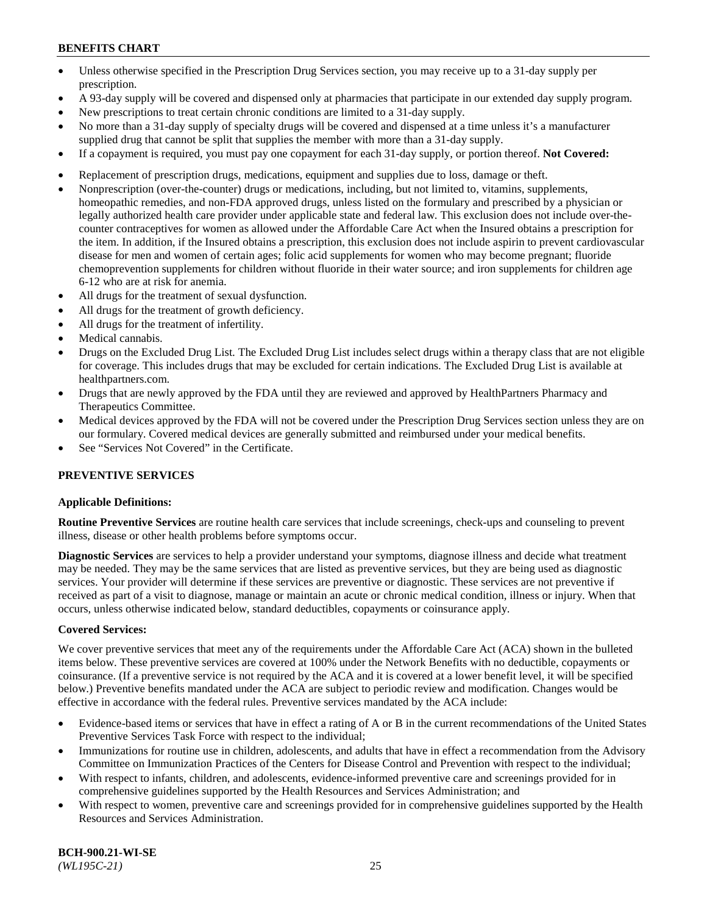- Unless otherwise specified in the Prescription Drug Services section, you may receive up to a 31-day supply per prescription.
- A 93-day supply will be covered and dispensed only at pharmacies that participate in our extended day supply program.
- New prescriptions to treat certain chronic conditions are limited to a 31-day supply.
- No more than a 31-day supply of specialty drugs will be covered and dispensed at a time unless it's a manufacturer supplied drug that cannot be split that supplies the member with more than a 31-day supply.
- If a copayment is required, you must pay one copayment for each 31-day supply, or portion thereof. **Not Covered:**
- Replacement of prescription drugs, medications, equipment and supplies due to loss, damage or theft.
- Nonprescription (over-the-counter) drugs or medications, including, but not limited to, vitamins, supplements, homeopathic remedies, and non-FDA approved drugs, unless listed on the formulary and prescribed by a physician or legally authorized health care provider under applicable state and federal law. This exclusion does not include over-thecounter contraceptives for women as allowed under the Affordable Care Act when the Insured obtains a prescription for the item. In addition, if the Insured obtains a prescription, this exclusion does not include aspirin to prevent cardiovascular disease for men and women of certain ages; folic acid supplements for women who may become pregnant; fluoride chemoprevention supplements for children without fluoride in their water source; and iron supplements for children age 6-12 who are at risk for anemia.
- All drugs for the treatment of sexual dysfunction.
- All drugs for the treatment of growth deficiency.
- All drugs for the treatment of infertility.
- Medical cannabis.
- Drugs on the Excluded Drug List. The Excluded Drug List includes select drugs within a therapy class that are not eligible for coverage. This includes drugs that may be excluded for certain indications. The Excluded Drug List is available at [healthpartners.com.](http://www.healthpartners.com/)
- Drugs that are newly approved by the FDA until they are reviewed and approved by HealthPartners Pharmacy and Therapeutics Committee.
- Medical devices approved by the FDA will not be covered under the Prescription Drug Services section unless they are on our formulary. Covered medical devices are generally submitted and reimbursed under your medical benefits.
- See "Services Not Covered" in the Certificate.

# **PREVENTIVE SERVICES**

#### **Applicable Definitions:**

**Routine Preventive Services** are routine health care services that include screenings, check-ups and counseling to prevent illness, disease or other health problems before symptoms occur.

**Diagnostic Services** are services to help a provider understand your symptoms, diagnose illness and decide what treatment may be needed. They may be the same services that are listed as preventive services, but they are being used as diagnostic services. Your provider will determine if these services are preventive or diagnostic. These services are not preventive if received as part of a visit to diagnose, manage or maintain an acute or chronic medical condition, illness or injury. When that occurs, unless otherwise indicated below, standard deductibles, copayments or coinsurance apply.

### **Covered Services:**

We cover preventive services that meet any of the requirements under the Affordable Care Act (ACA) shown in the bulleted items below. These preventive services are covered at 100% under the Network Benefits with no deductible, copayments or coinsurance. (If a preventive service is not required by the ACA and it is covered at a lower benefit level, it will be specified below.) Preventive benefits mandated under the ACA are subject to periodic review and modification. Changes would be effective in accordance with the federal rules. Preventive services mandated by the ACA include:

- Evidence-based items or services that have in effect a rating of A or B in the current recommendations of the United States Preventive Services Task Force with respect to the individual;
- Immunizations for routine use in children, adolescents, and adults that have in effect a recommendation from the Advisory Committee on Immunization Practices of the Centers for Disease Control and Prevention with respect to the individual;
- With respect to infants, children, and adolescents, evidence-informed preventive care and screenings provided for in comprehensive guidelines supported by the Health Resources and Services Administration; and
- With respect to women, preventive care and screenings provided for in comprehensive guidelines supported by the Health Resources and Services Administration.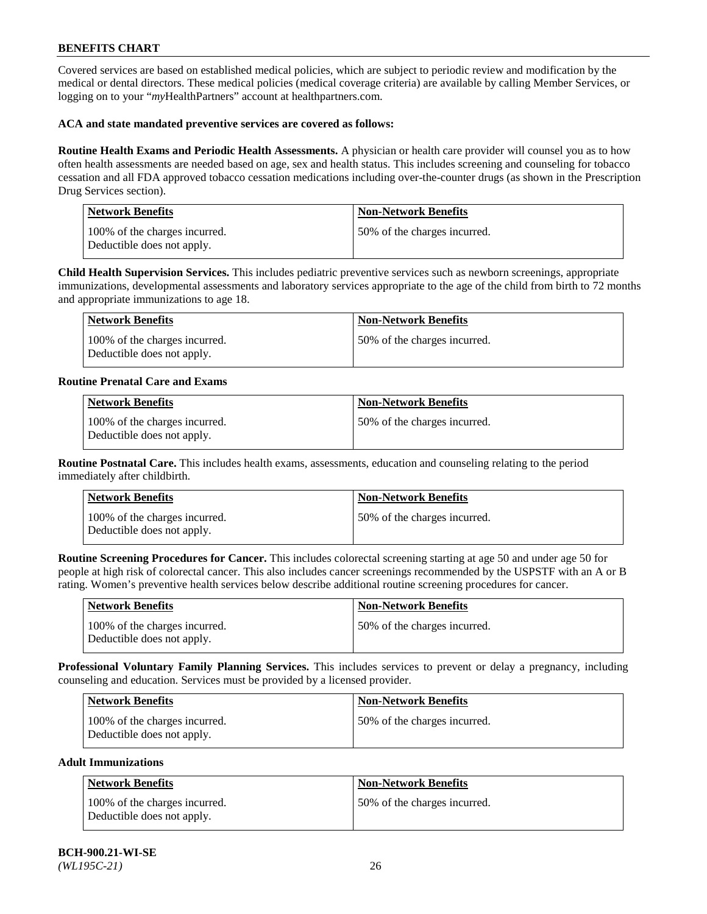Covered services are based on established medical policies, which are subject to periodic review and modification by the medical or dental directors. These medical policies (medical coverage criteria) are available by calling Member Services, or logging on to your "*my*HealthPartners" account at [healthpartners.com.](https://www.healthpartners.com/hp/index.html)

### **ACA and state mandated preventive services are covered as follows:**

**Routine Health Exams and Periodic Health Assessments.** A physician or health care provider will counsel you as to how often health assessments are needed based on age, sex and health status. This includes screening and counseling for tobacco cessation and all FDA approved tobacco cessation medications including over-the-counter drugs (as shown in the Prescription Drug Services section).

| <b>Network Benefits</b>                                     | <b>Non-Network Benefits</b>  |
|-------------------------------------------------------------|------------------------------|
| 100% of the charges incurred.<br>Deductible does not apply. | 50% of the charges incurred. |

**Child Health Supervision Services.** This includes pediatric preventive services such as newborn screenings, appropriate immunizations, developmental assessments and laboratory services appropriate to the age of the child from birth to 72 months and appropriate immunizations to age 18.

| Network Benefits                                            | Non-Network Benefits         |
|-------------------------------------------------------------|------------------------------|
| 100% of the charges incurred.<br>Deductible does not apply. | 50% of the charges incurred. |

### **Routine Prenatal Care and Exams**

| <b>Network Benefits</b>                                     | <b>Non-Network Benefits</b>  |
|-------------------------------------------------------------|------------------------------|
| 100% of the charges incurred.<br>Deductible does not apply. | 50% of the charges incurred. |

**Routine Postnatal Care.** This includes health exams, assessments, education and counseling relating to the period immediately after childbirth.

| Network Benefits                                            | <b>Non-Network Benefits</b>  |
|-------------------------------------------------------------|------------------------------|
| 100% of the charges incurred.<br>Deductible does not apply. | 50% of the charges incurred. |

**Routine Screening Procedures for Cancer.** This includes colorectal screening starting at age 50 and under age 50 for people at high risk of colorectal cancer. This also includes cancer screenings recommended by the USPSTF with an A or B rating. Women's preventive health services below describe additional routine screening procedures for cancer.

| Network Benefits                                            | <b>Non-Network Benefits</b>  |
|-------------------------------------------------------------|------------------------------|
| 100% of the charges incurred.<br>Deductible does not apply. | 50% of the charges incurred. |

**Professional Voluntary Family Planning Services.** This includes services to prevent or delay a pregnancy, including counseling and education. Services must be provided by a licensed provider.

| <b>Network Benefits</b>                                     | <b>Non-Network Benefits</b>   |
|-------------------------------------------------------------|-------------------------------|
| 100% of the charges incurred.<br>Deductible does not apply. | 150% of the charges incurred. |

# **Adult Immunizations**

| Network Benefits                                            | <b>Non-Network Benefits</b>  |
|-------------------------------------------------------------|------------------------------|
| 100% of the charges incurred.<br>Deductible does not apply. | 50% of the charges incurred. |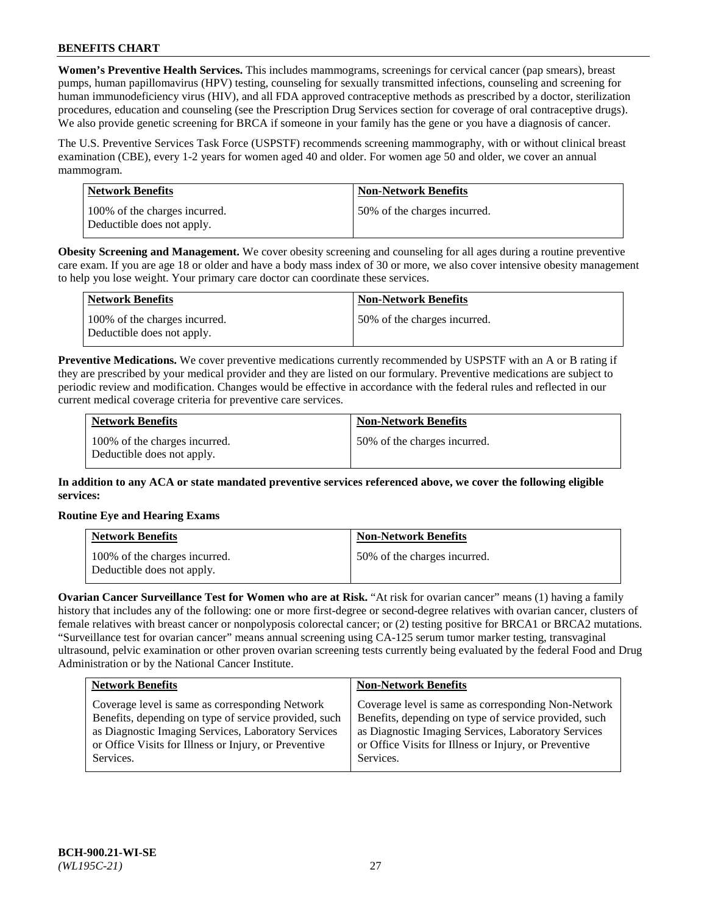**Women's Preventive Health Services.** This includes mammograms, screenings for cervical cancer (pap smears), breast pumps, human papillomavirus (HPV) testing, counseling for sexually transmitted infections, counseling and screening for human immunodeficiency virus (HIV), and all FDA approved contraceptive methods as prescribed by a doctor, sterilization procedures, education and counseling (see the Prescription Drug Services section for coverage of oral contraceptive drugs). We also provide genetic screening for BRCA if someone in your family has the gene or you have a diagnosis of cancer.

The U.S. Preventive Services Task Force (USPSTF) recommends screening mammography, with or without clinical breast examination (CBE), every 1-2 years for women aged 40 and older. For women age 50 and older, we cover an annual mammogram.

| Network Benefits                                            | <b>Non-Network Benefits</b>  |
|-------------------------------------------------------------|------------------------------|
| 100% of the charges incurred.<br>Deductible does not apply. | 50% of the charges incurred. |

**Obesity Screening and Management.** We cover obesity screening and counseling for all ages during a routine preventive care exam. If you are age 18 or older and have a body mass index of 30 or more, we also cover intensive obesity management to help you lose weight. Your primary care doctor can coordinate these services.

| Network Benefits                                            | <b>Non-Network Benefits</b>  |
|-------------------------------------------------------------|------------------------------|
| 100% of the charges incurred.<br>Deductible does not apply. | 50% of the charges incurred. |

**Preventive Medications.** We cover preventive medications currently recommended by USPSTF with an A or B rating if they are prescribed by your medical provider and they are listed on our formulary. Preventive medications are subject to periodic review and modification. Changes would be effective in accordance with the federal rules and reflected in our current medical coverage criteria for preventive care services.

| <b>Network Benefits</b>                                     | <b>Non-Network Benefits</b>  |
|-------------------------------------------------------------|------------------------------|
| 100% of the charges incurred.<br>Deductible does not apply. | 50% of the charges incurred. |

**In addition to any ACA or state mandated preventive services referenced above, we cover the following eligible services:**

# **Routine Eye and Hearing Exams**

| <b>Network Benefits</b>                                     | <b>Non-Network Benefits</b>  |
|-------------------------------------------------------------|------------------------------|
| 100% of the charges incurred.<br>Deductible does not apply. | 50% of the charges incurred. |

**Ovarian Cancer Surveillance Test for Women who are at Risk.** "At risk for ovarian cancer" means (1) having a family history that includes any of the following: one or more first-degree or second-degree relatives with ovarian cancer, clusters of female relatives with breast cancer or nonpolyposis colorectal cancer; or (2) testing positive for BRCA1 or BRCA2 mutations. "Surveillance test for ovarian cancer" means annual screening using CA-125 serum tumor marker testing, transvaginal ultrasound, pelvic examination or other proven ovarian screening tests currently being evaluated by the federal Food and Drug Administration or by the National Cancer Institute.

| <b>Network Benefits</b>                               | <b>Non-Network Benefits</b>                           |
|-------------------------------------------------------|-------------------------------------------------------|
| Coverage level is same as corresponding Network       | Coverage level is same as corresponding Non-Network   |
| Benefits, depending on type of service provided, such | Benefits, depending on type of service provided, such |
| as Diagnostic Imaging Services, Laboratory Services   | as Diagnostic Imaging Services, Laboratory Services   |
| or Office Visits for Illness or Injury, or Preventive | or Office Visits for Illness or Injury, or Preventive |
| Services.                                             | Services.                                             |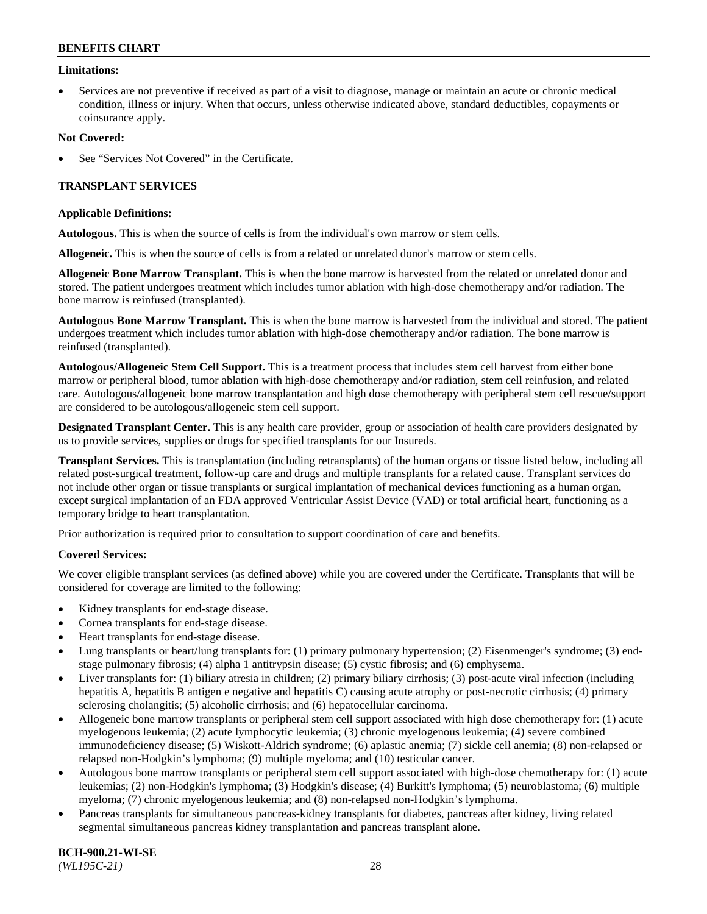### **Limitations:**

• Services are not preventive if received as part of a visit to diagnose, manage or maintain an acute or chronic medical condition, illness or injury. When that occurs, unless otherwise indicated above, standard deductibles, copayments or coinsurance apply.

### **Not Covered:**

See "Services Not Covered" in the Certificate.

# **TRANSPLANT SERVICES**

### **Applicable Definitions:**

**Autologous.** This is when the source of cells is from the individual's own marrow or stem cells.

**Allogeneic.** This is when the source of cells is from a related or unrelated donor's marrow or stem cells.

**Allogeneic Bone Marrow Transplant.** This is when the bone marrow is harvested from the related or unrelated donor and stored. The patient undergoes treatment which includes tumor ablation with high-dose chemotherapy and/or radiation. The bone marrow is reinfused (transplanted).

**Autologous Bone Marrow Transplant.** This is when the bone marrow is harvested from the individual and stored. The patient undergoes treatment which includes tumor ablation with high-dose chemotherapy and/or radiation. The bone marrow is reinfused (transplanted).

**Autologous/Allogeneic Stem Cell Support.** This is a treatment process that includes stem cell harvest from either bone marrow or peripheral blood, tumor ablation with high-dose chemotherapy and/or radiation, stem cell reinfusion, and related care. Autologous/allogeneic bone marrow transplantation and high dose chemotherapy with peripheral stem cell rescue/support are considered to be autologous/allogeneic stem cell support.

**Designated Transplant Center.** This is any health care provider, group or association of health care providers designated by us to provide services, supplies or drugs for specified transplants for our Insureds.

**Transplant Services.** This is transplantation (including retransplants) of the human organs or tissue listed below, including all related post-surgical treatment, follow-up care and drugs and multiple transplants for a related cause. Transplant services do not include other organ or tissue transplants or surgical implantation of mechanical devices functioning as a human organ, except surgical implantation of an FDA approved Ventricular Assist Device (VAD) or total artificial heart, functioning as a temporary bridge to heart transplantation.

Prior authorization is required prior to consultation to support coordination of care and benefits.

# **Covered Services:**

We cover eligible transplant services (as defined above) while you are covered under the Certificate. Transplants that will be considered for coverage are limited to the following:

- Kidney transplants for end-stage disease.
- Cornea transplants for end-stage disease.
- Heart transplants for end-stage disease.
- Lung transplants or heart/lung transplants for: (1) primary pulmonary hypertension; (2) Eisenmenger's syndrome; (3) endstage pulmonary fibrosis; (4) alpha 1 antitrypsin disease; (5) cystic fibrosis; and (6) emphysema.
- Liver transplants for: (1) biliary atresia in children; (2) primary biliary cirrhosis; (3) post-acute viral infection (including hepatitis A, hepatitis B antigen e negative and hepatitis C) causing acute atrophy or post-necrotic cirrhosis; (4) primary sclerosing cholangitis; (5) alcoholic cirrhosis; and (6) hepatocellular carcinoma.
- Allogeneic bone marrow transplants or peripheral stem cell support associated with high dose chemotherapy for: (1) acute myelogenous leukemia; (2) acute lymphocytic leukemia; (3) chronic myelogenous leukemia; (4) severe combined immunodeficiency disease; (5) Wiskott-Aldrich syndrome; (6) aplastic anemia; (7) sickle cell anemia; (8) non-relapsed or relapsed non-Hodgkin's lymphoma; (9) multiple myeloma; and (10) testicular cancer.
- Autologous bone marrow transplants or peripheral stem cell support associated with high-dose chemotherapy for: (1) acute leukemias; (2) non-Hodgkin's lymphoma; (3) Hodgkin's disease; (4) Burkitt's lymphoma; (5) neuroblastoma; (6) multiple myeloma; (7) chronic myelogenous leukemia; and (8) non-relapsed non-Hodgkin's lymphoma.
- Pancreas transplants for simultaneous pancreas-kidney transplants for diabetes, pancreas after kidney, living related segmental simultaneous pancreas kidney transplantation and pancreas transplant alone.